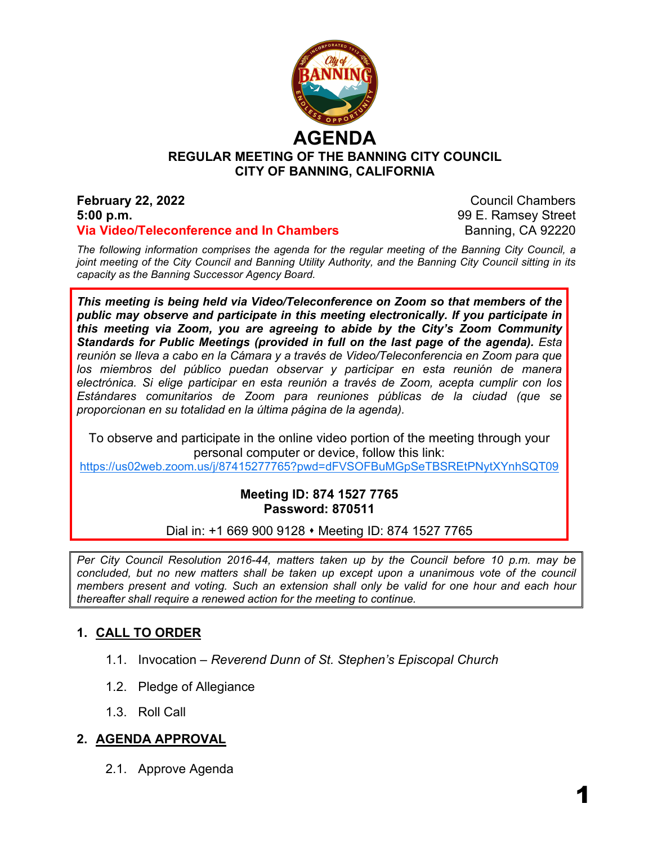

# **REGULAR MEETING OF THE BANNING CITY COUNCIL CITY OF BANNING, CALIFORNIA**

#### **February 22, 2022** Council Chambers **5:00 p.m.** 99 E. Ramsey Street **Via Video/Teleconference and In Chambers** Banning, CA 92220

*The following information comprises the agenda for the regular meeting of the Banning City Council, a joint meeting of the City Council and Banning Utility Authority, and the Banning City Council sitting in its capacity as the Banning Successor Agency Board.*

*This meeting is being held via Video/Teleconference on Zoom so that members of the public may observe and participate in this meeting electronically. If you participate in this meeting via Zoom, you are agreeing to abide by the City's Zoom Community Standards for Public Meetings (provided in full on the last page of the agenda). Esta reunión se lleva a cabo en la Cámara y a través de Video/Teleconferencia en Zoom para que*  los miembros del público puedan observar y participar en esta reunión de manera *electrónica. Si elige participar en esta reunión a través de Zoom, acepta cumplir con los Estándares comunitarios de Zoom para reuniones públicas de la ciudad (que se proporcionan en su totalidad en la última página de la agenda).*

To observe and participate in the online video portion of the meeting through your personal computer or device, follow this link:

<https://us02web.zoom.us/j/87415277765?pwd=dFVSOFBuMGpSeTBSREtPNytXYnhSQT09>

## **Meeting ID: 874 1527 7765 Password: 870511**

Dial in: +1 669 900 9128 • Meeting ID: 874 1527 7765

*Per City Council Resolution 2016-44, matters taken up by the Council before 10 p.m. may be concluded, but no new matters shall be taken up except upon a unanimous vote of the council members present and voting. Such an extension shall only be valid for one hour and each hour thereafter shall require a renewed action for the meeting to continue.*

# **1. CALL TO ORDER**

- 1.1. Invocation *Reverend Dunn of St. Stephen's Episcopal Church*
- 1.2. Pledge of Allegiance
- 1.3. Roll Call

# **2. AGENDA APPROVAL**

2.1. Approve Agenda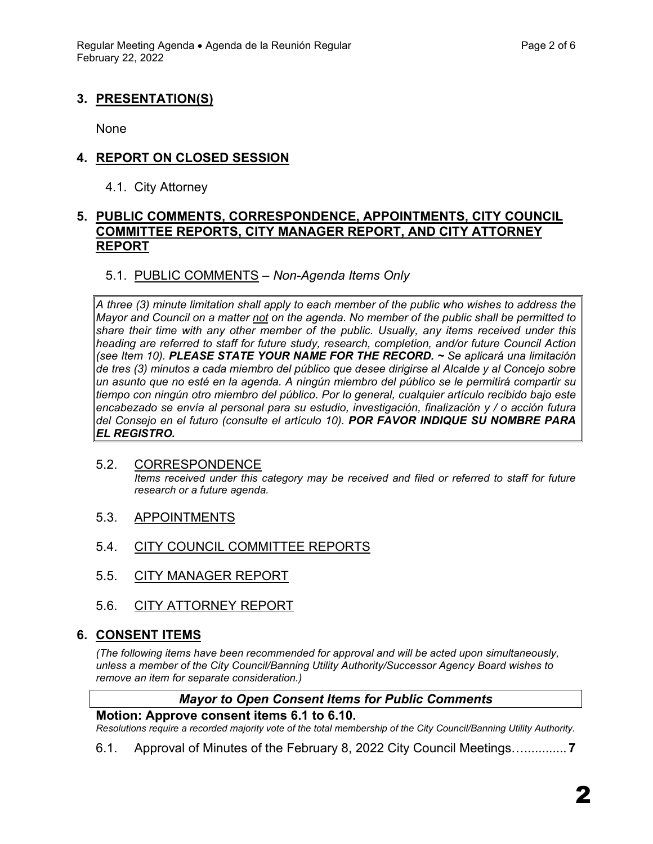# **3. PRESENTATION(S)**

None

## **4. REPORT ON CLOSED SESSION**

4.1. City Attorney

#### **5. PUBLIC COMMENTS, CORRESPONDENCE, APPOINTMENTS, CITY COUNCIL COMMITTEE REPORTS, CITY MANAGER REPORT, AND CITY ATTORNEY REPORT**

## 5.1. PUBLIC COMMENTS – *Non-Agenda Items Only*

*A three (3) minute limitation shall apply to each member of the public who wishes to address the Mayor and Council on a matter not on the agenda. No member of the public shall be permitted to share their time with any other member of the public. Usually, any items received under this heading are referred to staff for future study, research, completion, and/or future Council Action (see Item 10). PLEASE STATE YOUR NAME FOR THE RECORD. ~ Se aplicará una limitación de tres (3) minutos a cada miembro del público que desee dirigirse al Alcalde y al Concejo sobre un asunto que no esté en la agenda. A ningún miembro del público se le permitirá compartir su tiempo con ningún otro miembro del público. Por lo general, cualquier artículo recibido bajo este encabezado se envía al personal para su estudio, investigación, finalización y / o acción futura del Consejo en el futuro (consulte el artículo 10). POR FAVOR INDIQUE SU NOMBRE PARA EL REGISTRO.*

#### 5.2. CORRESPONDENCE *Items received under this category may be received and filed or referred to staff for future research or a future agenda.*

- 5.3. APPOINTMENTS
- 5.4. CITY COUNCIL COMMITTEE REPORTS
- 5.5. CITY MANAGER REPORT
- 5.6. CITY ATTORNEY REPORT

## **6. CONSENT ITEMS**

*(The following items have been recommended for approval and will be acted upon simultaneously, unless a member of the City Council/Banning Utility Authority/Successor Agency Board wishes to remove an item for separate consideration.)*

#### *Mayor to Open Consent Items for Public Comments*

#### **Motion: Approve consent items 6.1 to 6.10.**

*Resolutions require a recorded majority vote of the total membership of the City Council/Banning Utility Authority.* 

6.1. Approval of Minutes of the February 8, 2022 City Council Meetings…............ **7**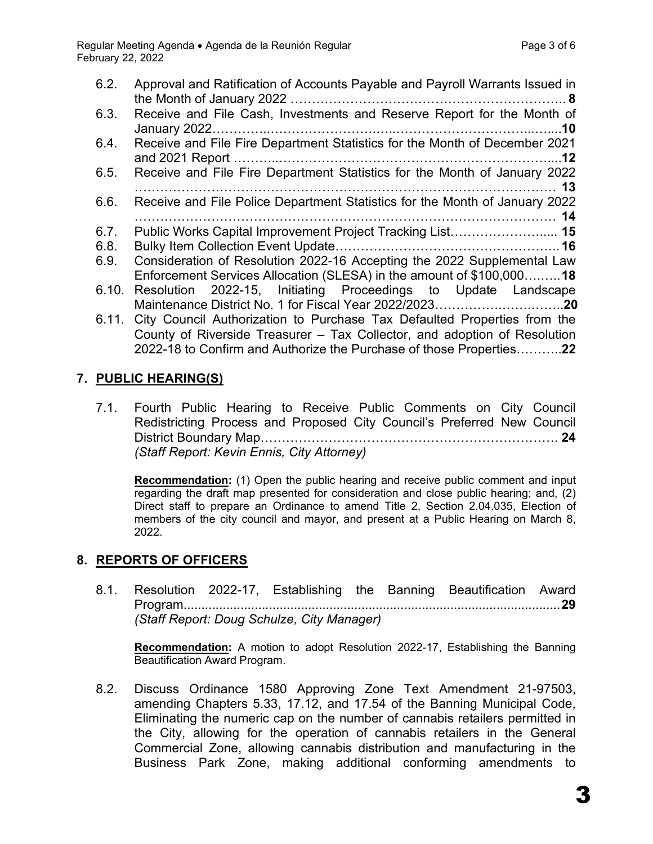| 6.2.<br>6.3.                  | Approval and Ratification of Accounts Payable and Payroll Warrants Issued in<br>Receive and File Cash, Investments and Reserve Report for the Month of                                                                                                                                                                                                                                                                                        |
|-------------------------------|-----------------------------------------------------------------------------------------------------------------------------------------------------------------------------------------------------------------------------------------------------------------------------------------------------------------------------------------------------------------------------------------------------------------------------------------------|
| 6.4.                          | Receive and File Fire Department Statistics for the Month of December 2021                                                                                                                                                                                                                                                                                                                                                                    |
| 6.5.                          | Receive and File Fire Department Statistics for the Month of January 2022                                                                                                                                                                                                                                                                                                                                                                     |
| 6.6.                          | Receive and File Police Department Statistics for the Month of January 2022                                                                                                                                                                                                                                                                                                                                                                   |
| 6.7.<br>6.8.<br>6.9.<br>6.10. | Public Works Capital Improvement Project Tracking List 15<br>Consideration of Resolution 2022-16 Accepting the 2022 Supplemental Law<br>Enforcement Services Allocation (SLESA) in the amount of \$100,00018<br>Resolution 2022-15, Initiating Proceedings to Update Landscape<br>6.11. City Council Authorization to Purchase Tax Defaulted Properties from the<br>County of Riverside Treasurer - Tax Collector, and adoption of Resolution |
|                               | 2022-18 to Confirm and Authorize the Purchase of those Properties22                                                                                                                                                                                                                                                                                                                                                                           |

# **7. PUBLIC HEARING(S)**

7.1. Fourth Public Hearing to Receive Public Comments on City Council Redistricting Process and Proposed City Council's Preferred New Council District Boundary Map……………………………………………………………. **24** *(Staff Report: Kevin Ennis, City Attorney)*

**Recommendation:** (1) Open the public hearing and receive public comment and input regarding the draft map presented for consideration and close public hearing; and, (2) Direct staff to prepare an Ordinance to amend Title 2, Section 2.04.035, Election of members of the city council and mayor, and present at a Public Hearing on March 8, 2022.

# **8. REPORTS OF OFFICERS**

8.1. Resolution 2022-17, Establishing the Banning Beautification Award Program..........................................................................................................**29** *(Staff Report: Doug Schulze, City Manager)*

**Recommendation:** A motion to adopt Resolution 2022-17, Establishing the Banning Beautification Award Program.

8.2. Discuss Ordinance 1580 Approving Zone Text Amendment 21-97503, amending Chapters 5.33, 17.12, and 17.54 of the Banning Municipal Code, Eliminating the numeric cap on the number of cannabis retailers permitted in the City, allowing for the operation of cannabis retailers in the General Commercial Zone, allowing cannabis distribution and manufacturing in the Business Park Zone, making additional conforming amendments to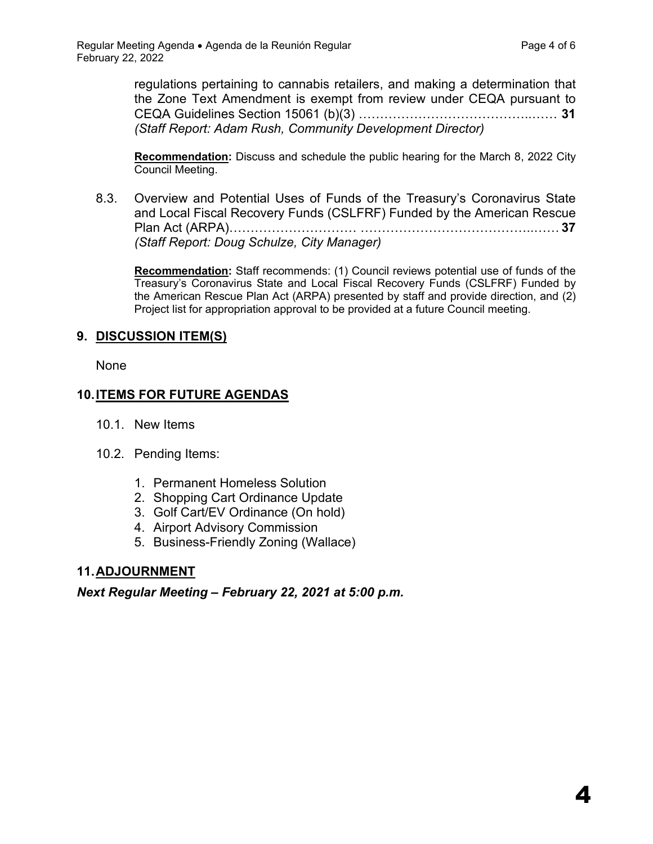4

regulations pertaining to cannabis retailers, and making a determination that the Zone Text Amendment is exempt from review under CEQA pursuant to CEQA Guidelines Section 15061 (b)(3) …………………………………..…… **31** *(Staff Report: Adam Rush, Community Development Director)*

**Recommendation:** Discuss and schedule the public hearing for the March 8, 2022 City Council Meeting.

8.3. Overview and Potential Uses of Funds of the Treasury's Coronavirus State and Local Fiscal Recovery Funds (CSLFRF) Funded by the American Rescue Plan Act (ARPA)………………………… …………………………………..…… **37** *(Staff Report: Doug Schulze, City Manager)*

**Recommendation:** Staff recommends: (1) Council reviews potential use of funds of the Treasury's Coronavirus State and Local Fiscal Recovery Funds (CSLFRF) Funded by the American Rescue Plan Act (ARPA) presented by staff and provide direction, and (2) Project list for appropriation approval to be provided at a future Council meeting.

## **9. DISCUSSION ITEM(S)**

None

# **10.ITEMS FOR FUTURE AGENDAS**

- 10.1. New Items
- 10.2. Pending Items:
	- 1. Permanent Homeless Solution
	- 2. Shopping Cart Ordinance Update
	- 3. Golf Cart/EV Ordinance (On hold)
	- 4. Airport Advisory Commission
	- 5. Business-Friendly Zoning (Wallace)

# **11.ADJOURNMENT**

*Next Regular Meeting – February 22, 2021 at 5:00 p.m.*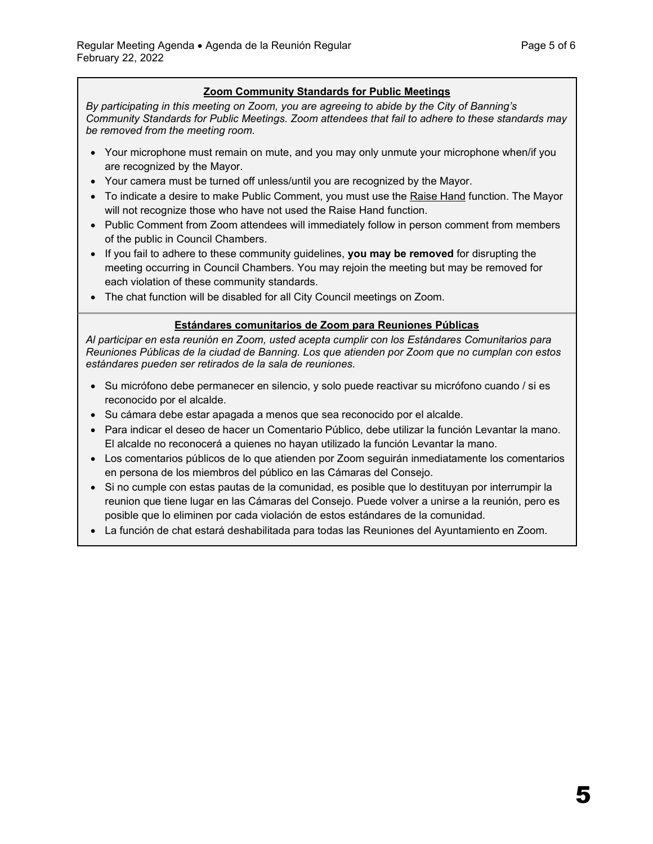#### **Zoom Community Standards for Public Meetings**

*By participating in this meeting on Zoom, you are agreeing to abide by the City of Banning's Community Standards for Public Meetings. Zoom attendees that fail to adhere to these standards may be removed from the meeting room.*

- Your microphone must remain on mute, and you may only unmute your microphone when/if you are recognized by the Mayor.
- Your camera must be turned off unless/until you are recognized by the Mayor.
- To indicate a desire to make Public Comment, you must use the [Raise Hand](https://support.zoom.us/hc/en-us/articles/205566129-Raising-your-hand-in-a-webinar) function. The Mayor will not recognize those who have not used the Raise Hand function.
- Public Comment from Zoom attendees will immediately follow in person comment from members of the public in Council Chambers.
- If you fail to adhere to these community guidelines, **you may be removed** for disrupting the meeting occurring in Council Chambers. You may rejoin the meeting but may be removed for each violation of these community standards.
- The chat function will be disabled for all City Council meetings on Zoom.

#### **Estándares comunitarios de Zoom para Reuniones Públicas**

*Al participar en esta reunión en Zoom, usted acepta cumplir con los Estándares Comunitarios para Reuniones Públicas de la ciudad de Banning. Los que atienden por Zoom que no cumplan con estos estándares pueden ser retirados de la sala de reuniones.*

- Su micrófono debe permanecer en silencio, y solo puede reactivar su micrófono cuando / si es reconocido por el alcalde.
- Su cámara debe estar apagada a menos que sea reconocido por el alcalde.
- Para indicar el deseo de hacer un Comentario Público, debe utilizar la función Levantar la mano. El alcalde no reconocerá a quienes no hayan utilizado la función Levantar la mano.
- Los comentarios públicos de lo que atienden por Zoom seguirán inmediatamente los comentarios en persona de los miembros del público en las Cámaras del Consejo.
- Si no cumple con estas pautas de la comunidad, es posible que lo destituyan por interrumpir la reunion que tiene lugar en las Cámaras del Consejo. Puede volver a unirse a la reunión, pero es posible que lo eliminen por cada violación de estos estándares de la comunidad.
- La función de chat estará deshabilitada para todas las Reuniones del Ayuntamiento en Zoom.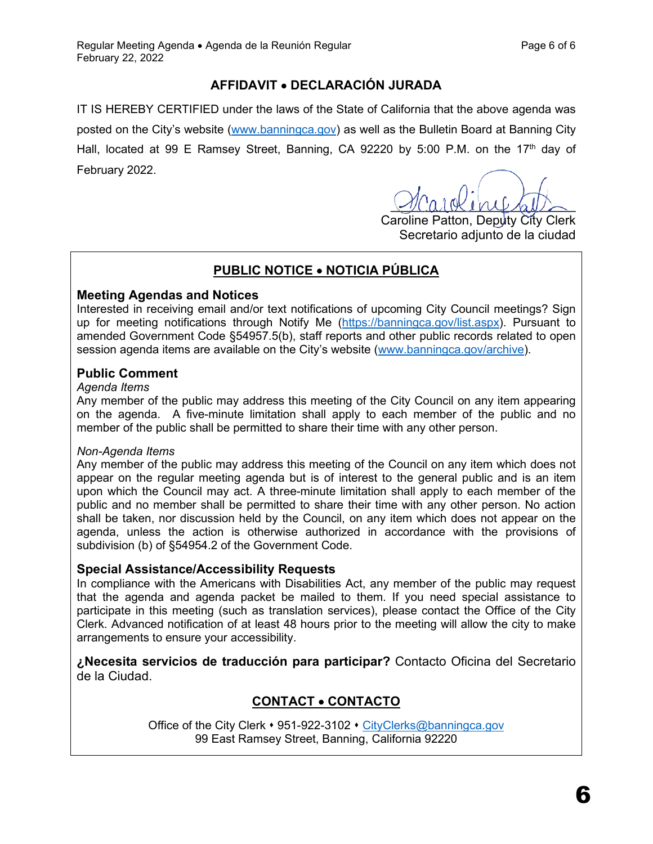# **AFFIDAVIT** • **DECLARACIÓN JURADA**

IT IS HEREBY CERTIFIED under the laws of the State of California that the above agenda was posted on the City's website [\(www.banningca.gov\)](http://www.banningca.gov/) as well as the Bulletin Board at Banning City Hall, located at 99 E Ramsey Street, Banning, CA 92220 by 5:00 P.M. on the 17<sup>th</sup> day of February 2022.

 $\sqrt{2}$  care me also

Caroline Patton, Deputy City Clerk Secretario adjunto de la ciudad

# **PUBLIC NOTICE** • **NOTICIA PÚBLICA**

#### **Meeting Agendas and Notices**

Interested in receiving email and/or text notifications of upcoming City Council meetings? Sign up for meeting notifications through Notify Me [\(https://banningca.gov/list.aspx\)](https://banningca.gov/list.aspx). Pursuant to amended Government Code §54957.5(b), staff reports and other public records related to open session agenda items are available on the City's website [\(www.banningca.gov/archive\)](http://www.banningca.gov/archive).

#### **Public Comment**

#### *Agenda Items*

Any member of the public may address this meeting of the City Council on any item appearing on the agenda. A five-minute limitation shall apply to each member of the public and no member of the public shall be permitted to share their time with any other person.

#### *Non-Agenda Items*

Any member of the public may address this meeting of the Council on any item which does not appear on the regular meeting agenda but is of interest to the general public and is an item upon which the Council may act. A three-minute limitation shall apply to each member of the public and no member shall be permitted to share their time with any other person. No action shall be taken, nor discussion held by the Council, on any item which does not appear on the agenda, unless the action is otherwise authorized in accordance with the provisions of subdivision (b) of §54954.2 of the Government Code.

## **Special Assistance/Accessibility Requests**

In compliance with the Americans with Disabilities Act, any member of the public may request that the agenda and agenda packet be mailed to them. If you need special assistance to participate in this meeting (such as translation services), please contact the Office of the City Clerk. Advanced notification of at least 48 hours prior to the meeting will allow the city to make arrangements to ensure your accessibility.

**¿Necesita servicios de traducción para participar?** Contacto Oficina del Secretario de la Ciudad.

# **CONTACT** • **CONTACTO**

Office of the City Clerk • 951-922-3102 • [CityClerks@banningca.gov](mailto:CityClerks@banningca.gov) 99 East Ramsey Street, Banning, California 92220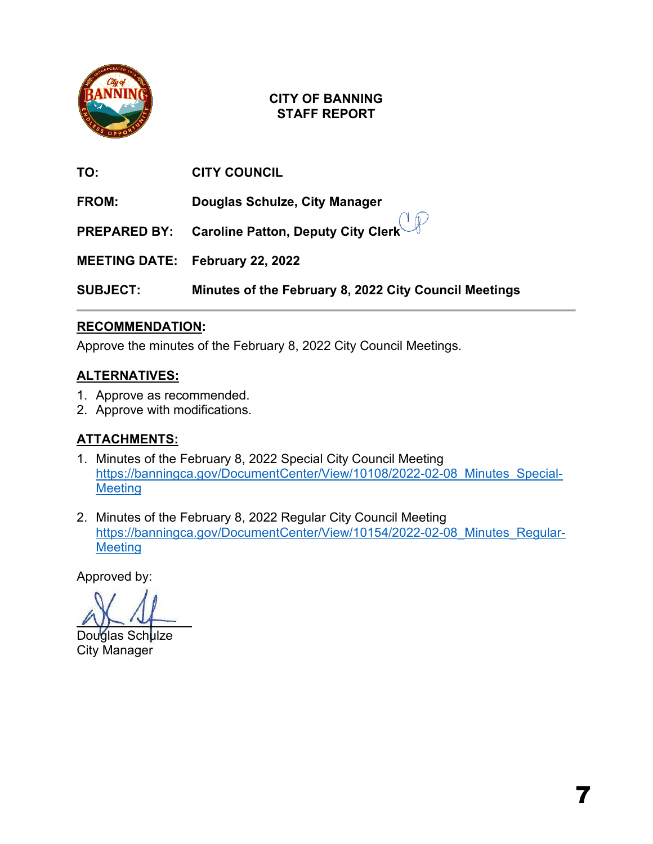

| TO:             | <b>CITY COUNCIL</b>                                    |
|-----------------|--------------------------------------------------------|
| FROM:           | Douglas Schulze, City Manager                          |
|                 | <b>PREPARED BY:</b> Caroline Patton, Deputy City Clerk |
|                 | <b>MEETING DATE: February 22, 2022</b>                 |
| <b>SUBJECT:</b> | Minutes of the February 8, 2022 City Council Meetings  |

# **RECOMMENDATION:**

Approve the minutes of the February 8, 2022 City Council Meetings.

# **ALTERNATIVES:**

- 1. Approve as recommended.
- 2. Approve with modifications.

# **ATTACHMENTS:**

- 1. Minutes of the February 8, 2022 Special City Council Meeting [https://banningca.gov/DocumentCenter/View/10108/2022-02-08\\_Minutes\\_Special-](https://banningca.gov/DocumentCenter/View/10108/2022-02-08_Minutes_Special-Meeting)**[Meeting](https://banningca.gov/DocumentCenter/View/10108/2022-02-08_Minutes_Special-Meeting)**
- 2. Minutes of the February 8, 2022 Regular City Council Meeting [https://banningca.gov/DocumentCenter/View/10154/2022-02-08\\_Minutes\\_Regular-](https://banningca.gov/DocumentCenter/View/10154/2022-02-08_Minutes_Regular-Meeting)**[Meeting](https://banningca.gov/DocumentCenter/View/10154/2022-02-08_Minutes_Regular-Meeting)**

į

Douglas Sch<mark>ulze</mark> City Manager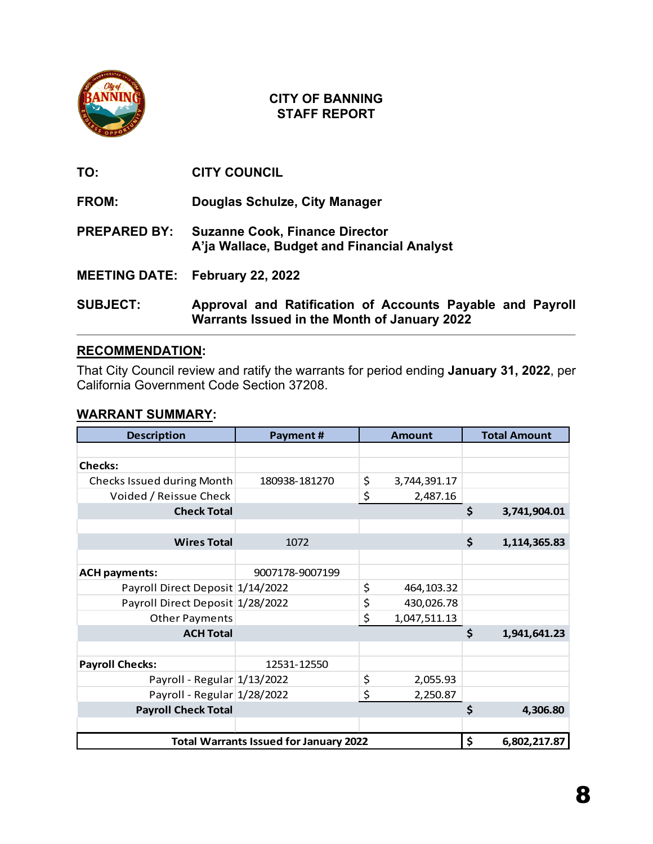

**TO: CITY COUNCIL**

**FROM: Douglas Schulze, City Manager**

**PREPARED BY: Suzanne Cook, Finance Director A'ja Wallace, Budget and Financial Analyst** 

**MEETING DATE: February 22, 2022**

**SUBJECT: Approval and Ratification of Accounts Payable and Payroll Warrants Issued in the Month of January 2022** 

# **RECOMMENDATION:**

That City Council review and ratify the warrants for period ending **January 31, 2022**, per California Government Code Section 37208.

#### **WARRANT SUMMARY:**

| <b>Description</b>                            | Payment#        |    | <b>Amount</b> | <b>Total Amount</b> |
|-----------------------------------------------|-----------------|----|---------------|---------------------|
|                                               |                 |    |               |                     |
| <b>Checks:</b>                                |                 |    |               |                     |
| Checks Issued during Month                    | 180938-181270   | \$ | 3,744,391.17  |                     |
| Voided / Reissue Check                        |                 | \$ | 2,487.16      |                     |
| <b>Check Total</b>                            |                 |    |               | \$<br>3,741,904.01  |
|                                               |                 |    |               |                     |
| <b>Wires Total</b>                            | 1072            |    |               | \$<br>1,114,365.83  |
|                                               |                 |    |               |                     |
| <b>ACH payments:</b>                          | 9007178-9007199 |    |               |                     |
| Payroll Direct Deposit 1/14/2022              |                 | \$ | 464,103.32    |                     |
| Payroll Direct Deposit 1/28/2022              |                 | \$ | 430,026.78    |                     |
| <b>Other Payments</b>                         |                 | \$ | 1,047,511.13  |                     |
| <b>ACH Total</b>                              |                 |    |               | \$<br>1,941,641.23  |
|                                               |                 |    |               |                     |
| <b>Payroll Checks:</b>                        | 12531-12550     |    |               |                     |
| Payroll - Regular 1/13/2022                   |                 | \$ | 2,055.93      |                     |
| Payroll - Regular 1/28/2022                   |                 | \$ | 2,250.87      |                     |
| <b>Payroll Check Total</b>                    |                 |    |               | \$<br>4,306.80      |
|                                               |                 |    |               |                     |
| <b>Total Warrants Issued for January 2022</b> |                 |    |               | \$<br>6,802,217.87  |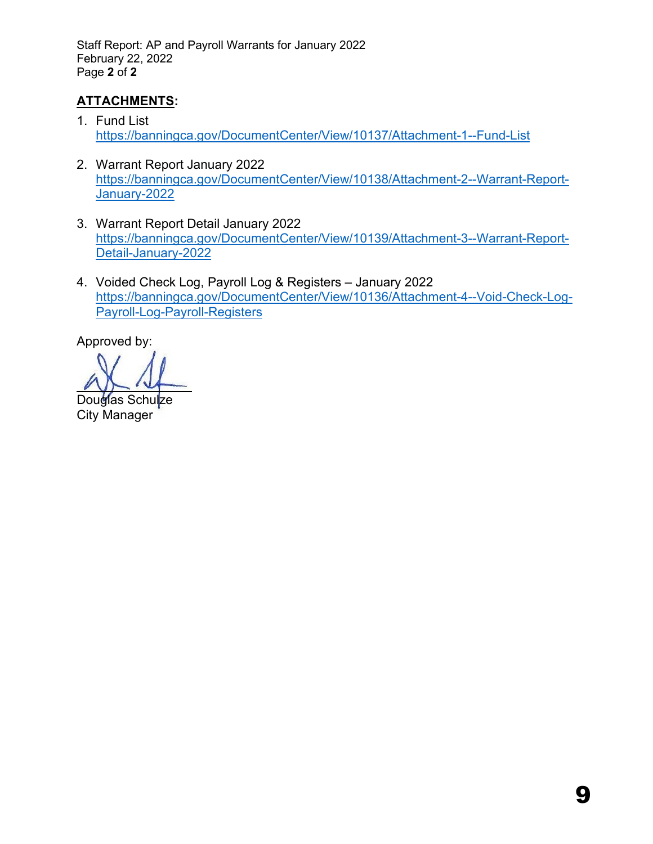Staff Report: AP and Payroll Warrants for January 2022 February 22, 2022 Page **2** of **2** 

# **ATTACHMENTS:**

- 1. Fund List <https://banningca.gov/DocumentCenter/View/10137/Attachment-1--Fund-List>
- 2. Warrant Report January 2022 [https://banningca.gov/DocumentCenter/View/10138/Attachment-2--Warrant-Report-](https://banningca.gov/DocumentCenter/View/10138/Attachment-2--Warrant-Report-January-2022)[January-2022](https://banningca.gov/DocumentCenter/View/10138/Attachment-2--Warrant-Report-January-2022)
- 3. Warrant Report Detail January 2022 [https://banningca.gov/DocumentCenter/View/10139/Attachment-3--Warrant-Report-](https://banningca.gov/DocumentCenter/View/10139/Attachment-3--Warrant-Report-Detail-January-2022)[Detail-January-2022](https://banningca.gov/DocumentCenter/View/10139/Attachment-3--Warrant-Report-Detail-January-2022)
- 4. Voided Check Log, Payroll Log & Registers January 2022 [https://banningca.gov/DocumentCenter/View/10136/Attachment-4--Void-Check-Log-](https://banningca.gov/DocumentCenter/View/10136/Attachment-4--Void-Check-Log-Payroll-Log-Payroll-Registers)[Payroll-Log-Payroll-Registers](https://banningca.gov/DocumentCenter/View/10136/Attachment-4--Void-Check-Log-Payroll-Log-Payroll-Registers)

Douglas Schulze City Manager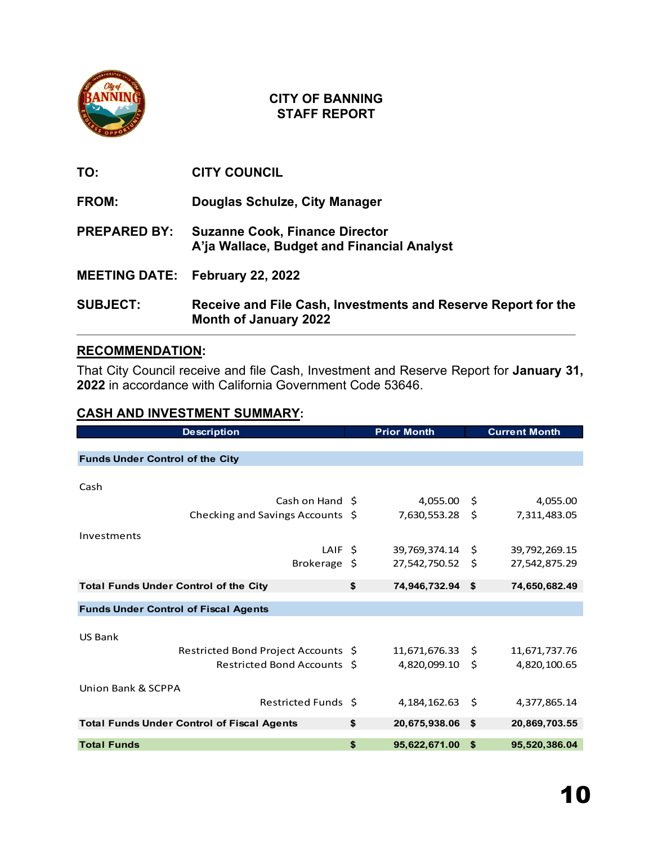

**TO: CITY COUNCIL**

**FROM: Douglas Schulze, City Manager**

**PREPARED BY: Suzanne Cook, Finance Director A'ja Wallace, Budget and Financial Analyst** 

- **MEETING DATE: February 22, 2022**
- **SUBJECT: Receive and File Cash, Investments and Reserve Report for the Month of January 2022**

# **RECOMMENDATION:**

That City Council receive and file Cash, Investment and Reserve Report for **January 31, 2022** in accordance with California Government Code 53646.

## **CASH AND INVESTMENT SUMMARY:**

| <b>Description</b>                                | <b>Prior Month</b>     |    | <b>Current Month</b> |
|---------------------------------------------------|------------------------|----|----------------------|
|                                                   |                        |    |                      |
| <b>Funds Under Control of the City</b>            |                        |    |                      |
|                                                   |                        |    |                      |
| Cash                                              |                        |    |                      |
| Cash on Hand \$                                   | 4,055.00 \$            |    | 4,055.00             |
| Checking and Savings Accounts \$                  | 7,630,553.28 \$        |    | 7,311,483.05         |
| Investments                                       |                        |    |                      |
| LAIF \$                                           | 39,769,374.14 \$       |    |                      |
|                                                   |                        |    | 39,792,269.15        |
| Brokerage \$                                      | 27,542,750.52          | Ŝ. | 27,542,875.29        |
| <b>Total Funds Under Control of the City</b>      | \$<br>74,946,732.94 \$ |    | 74,650,682.49        |
|                                                   |                        |    |                      |
| <b>Funds Under Control of Fiscal Agents</b>       |                        |    |                      |
|                                                   |                        |    |                      |
| <b>US Bank</b>                                    |                        |    |                      |
| Restricted Bond Project Accounts \$               | 11,671,676.33 \$       |    | 11,671,737.76        |
| Restricted Bond Accounts \$                       | 4,820,099.10 \$        |    | 4,820,100.65         |
|                                                   |                        |    |                      |
| Union Bank & SCPPA                                |                        |    |                      |
| Restricted Funds \$                               | $4,184,162.63$ \$      |    | 4,377,865.14         |
| <b>Total Funds Under Control of Fiscal Agents</b> | \$<br>20,675,938.06    | \$ | 20,869,703.55        |
|                                                   |                        |    |                      |
| <b>Total Funds</b>                                | \$<br>95,622,671.00    | \$ | 95,520,386.04        |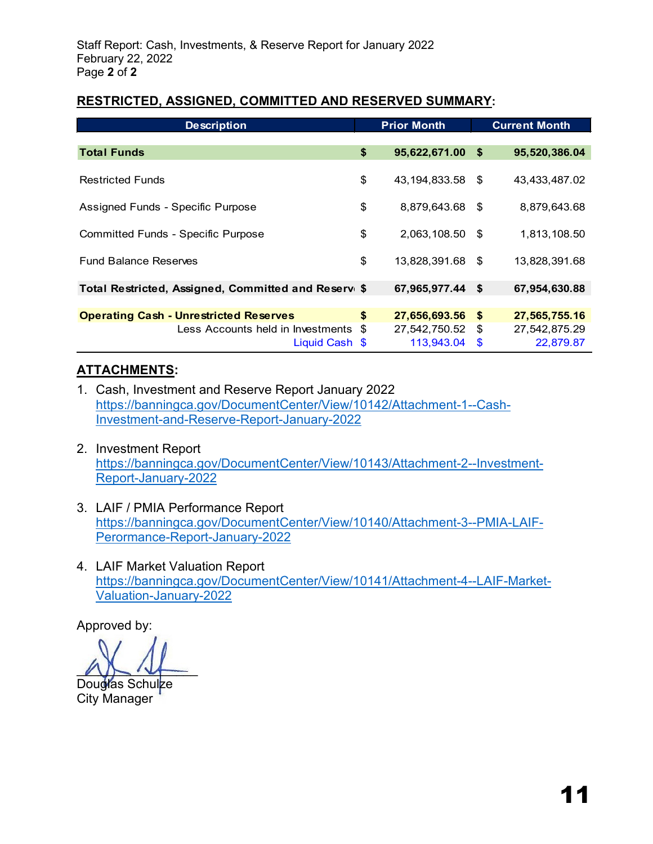## **RESTRICTED, ASSIGNED, COMMITTED AND RESERVED SUMMARY:**

| <b>Description</b>                                  | <b>Prior Month</b>     |      | <b>Current Month</b> |
|-----------------------------------------------------|------------------------|------|----------------------|
|                                                     |                        |      |                      |
| <b>Total Funds</b>                                  | \$<br>95,622,671.00    | - \$ | 95,520,386.04        |
|                                                     |                        |      |                      |
| <b>Restricted Funds</b>                             | \$<br>43, 194, 833.58  | - \$ | 43,433,487.02        |
|                                                     |                        |      |                      |
| Assigned Funds - Specific Purpose                   | \$<br>8,879,643.68     | - \$ | 8,879,643.68         |
| <b>Committed Funds - Specific Purpose</b>           | \$<br>2,063,108.50 \$  |      | 1,813,108.50         |
|                                                     |                        |      |                      |
| <b>Fund Balance Reserves</b>                        | \$<br>13,828,391.68 \$ |      | 13,828,391.68        |
|                                                     |                        |      |                      |
| Total Restricted, Assigned, Committed and Reserv \$ | 67,965,977.44          | - \$ | 67,954,630.88        |
|                                                     |                        |      |                      |
| <b>Operating Cash - Unrestricted Reserves</b>       | \$<br>27,656,693.56    | - \$ | 27,565,755.16        |
| Less Accounts held in Investments \$                | 27,542,750.52          | - \$ | 27,542,875.29        |
| Liquid Cash \$                                      | 113,943.04             | \$   | 22,879.87            |

# **ATTACHMENTS:**

- 1. Cash, Investment and Reserve Report January 2022 [https://banningca.gov/DocumentCenter/View/10142/Attachment-1--Cash-](https://banningca.gov/DocumentCenter/View/10142/Attachment-1--Cash-Investment-and-Reserve-Report-January-2022)[Investment-and-Reserve-Report-January-2022](https://banningca.gov/DocumentCenter/View/10142/Attachment-1--Cash-Investment-and-Reserve-Report-January-2022)
- 2. Investment Report [https://banningca.gov/DocumentCenter/View/10143/Attachment-2--Investment-](https://banningca.gov/DocumentCenter/View/10143/Attachment-2--Investment-Report-January-2022)[Report-January-2022](https://banningca.gov/DocumentCenter/View/10143/Attachment-2--Investment-Report-January-2022)
- 3. LAIF / PMIA Performance Report [https://banningca.gov/DocumentCenter/View/10140/Attachment-3--PMIA-LAIF-](https://banningca.gov/DocumentCenter/View/10140/Attachment-3--PMIA-LAIF-Perormance-Report-January-2022)[Perormance-Report-January-2022](https://banningca.gov/DocumentCenter/View/10140/Attachment-3--PMIA-LAIF-Perormance-Report-January-2022)
- 4. LAIF Market Valuation Report [https://banningca.gov/DocumentCenter/View/10141/Attachment-4--LAIF-Market-](https://banningca.gov/DocumentCenter/View/10141/Attachment-4--LAIF-Market-Valuation-January-2022)[Valuation-January-2022](https://banningca.gov/DocumentCenter/View/10141/Attachment-4--LAIF-Market-Valuation-January-2022)

 $\sqrt{2}$ 

Douglas Schulze City Manager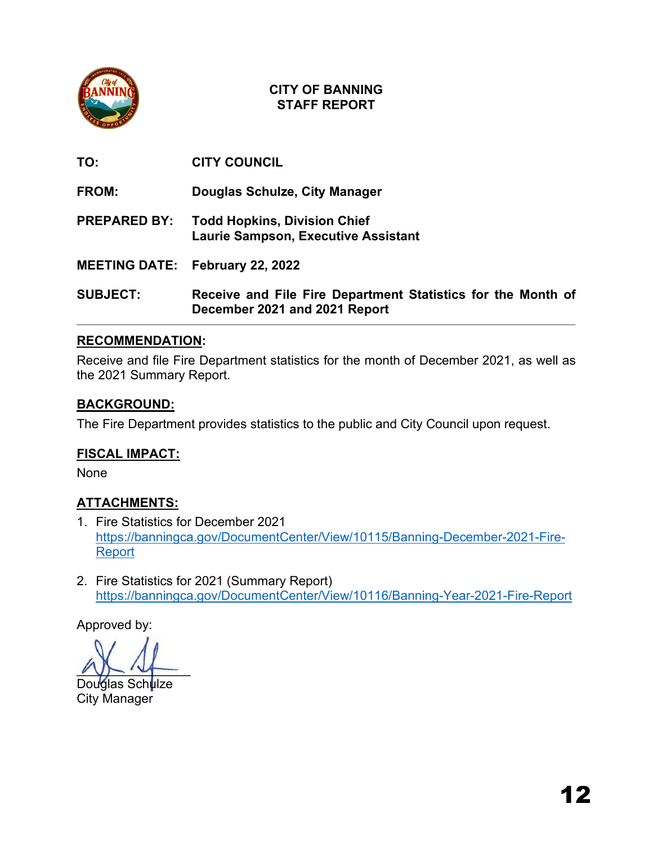

| TO:                 | <b>CITY COUNCIL</b>                                                                           |
|---------------------|-----------------------------------------------------------------------------------------------|
| <b>FROM:</b>        | Douglas Schulze, City Manager                                                                 |
| <b>PREPARED BY:</b> | <b>Todd Hopkins, Division Chief</b><br><b>Laurie Sampson, Executive Assistant</b>             |
|                     | <b>MEETING DATE: February 22, 2022</b>                                                        |
| <b>SUBJECT:</b>     | Receive and File Fire Department Statistics for the Month of<br>December 2021 and 2021 Report |

## **RECOMMENDATION:**

Receive and file Fire Department statistics for the month of December 2021, as well as the 2021 Summary Report.

## **BACKGROUND:**

The Fire Department provides statistics to the public and City Council upon request.

# **FISCAL IMPACT:**

None

# **ATTACHMENTS:**

- 1. Fire Statistics for December 2021 [https://banningca.gov/DocumentCenter/View/10115/Banning-December-2021-Fire-](https://banningca.gov/DocumentCenter/View/10115/Banning-December-2021-Fire-Report)[Report](https://banningca.gov/DocumentCenter/View/10115/Banning-December-2021-Fire-Report)
- 2. Fire Statistics for 2021 (Summary Report) <https://banningca.gov/DocumentCenter/View/10116/Banning-Year-2021-Fire-Report>

 $22 - 12$ 

Douglas Sch<mark>u</mark>lze City Manager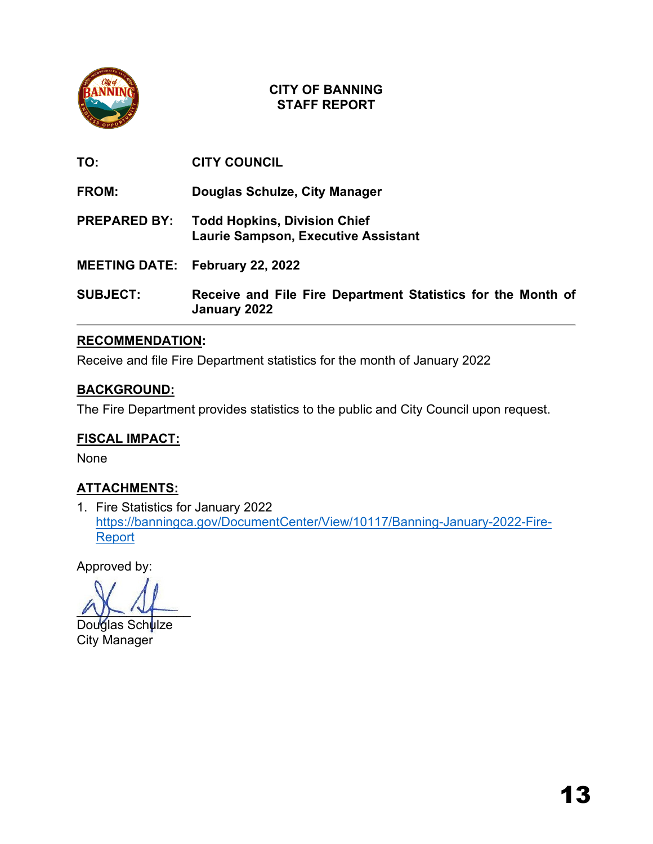

| <b>SUBJECT:</b>     | Receive and File Fire Department Statistics for the Month of<br>January 2022      |
|---------------------|-----------------------------------------------------------------------------------|
|                     | <b>MEETING DATE: February 22, 2022</b>                                            |
| <b>PREPARED BY:</b> | <b>Todd Hopkins, Division Chief</b><br><b>Laurie Sampson, Executive Assistant</b> |
| FROM:               | Douglas Schulze, City Manager                                                     |
| TO:                 | <b>CITY COUNCIL</b>                                                               |

# **RECOMMENDATION:**

Receive and file Fire Department statistics for the month of January 2022

## **BACKGROUND:**

The Fire Department provides statistics to the public and City Council upon request.

# **FISCAL IMPACT:**

None

# **ATTACHMENTS:**

1. Fire Statistics for January 2022 [https://banningca.gov/DocumentCenter/View/10117/Banning-January-2022-Fire-](https://banningca.gov/DocumentCenter/View/10117/Banning-January-2022-Fire-Report)**[Report](https://banningca.gov/DocumentCenter/View/10117/Banning-January-2022-Fire-Report)** 

 $22 - 12$ 

Douglas Sch**u**lze City Manager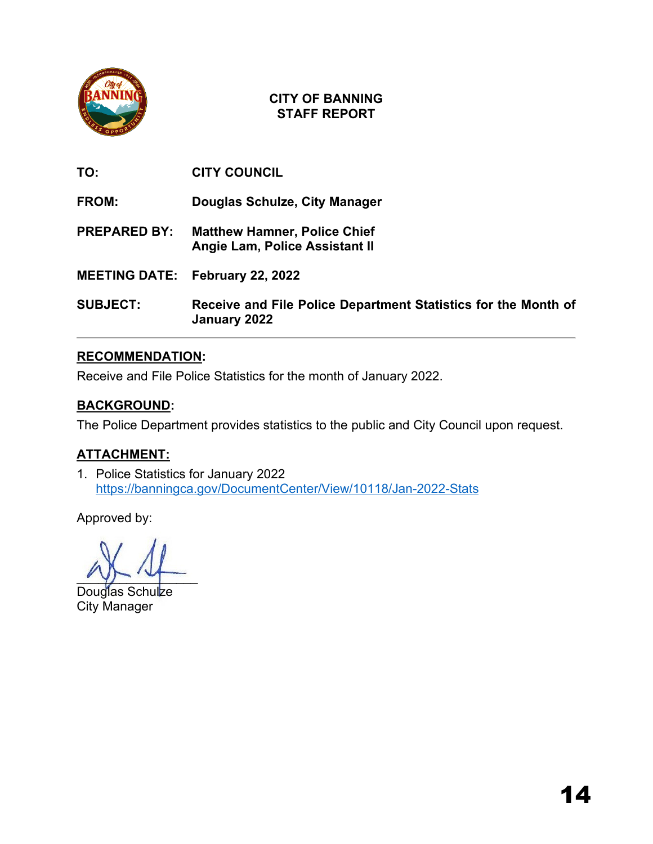

**TO: CITY COUNCIL**

**FROM: Douglas Schulze, City Manager**

**PREPARED BY: Matthew Hamner, Police Chief Angie Lam, Police Assistant II**

- **MEETING DATE: February 22, 2022**
- **SUBJECT: Receive and File Police Department Statistics for the Month of January 2022**

# **RECOMMENDATION:**

Receive and File Police Statistics for the month of January 2022.

# **BACKGROUND:**

The Police Department provides statistics to the public and City Council upon request.

# **ATTACHMENT:**

1. Police Statistics for January 2022 <https://banningca.gov/DocumentCenter/View/10118/Jan-2022-Stats>

 $y \mapsto y$ 

Douglas Schulze City Manager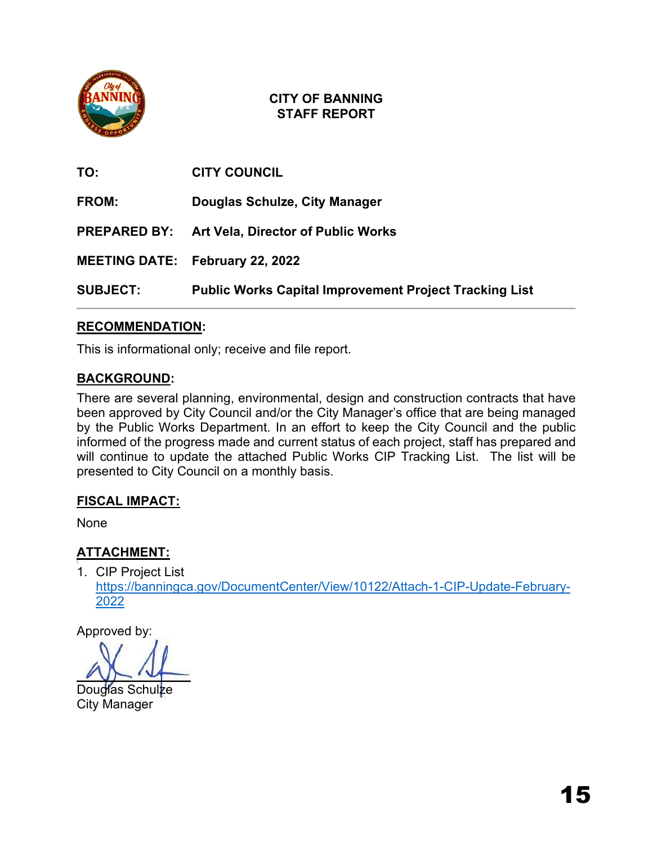

| TO:                 | <b>CITY COUNCIL</b>                                           |
|---------------------|---------------------------------------------------------------|
| FROM:               | Douglas Schulze, City Manager                                 |
| <b>PREPARED BY:</b> | <b>Art Vela, Director of Public Works</b>                     |
|                     | <b>MEETING DATE: February 22, 2022</b>                        |
| <b>SUBJECT:</b>     | <b>Public Works Capital Improvement Project Tracking List</b> |

# **RECOMMENDATION:**

This is informational only; receive and file report.

# **BACKGROUND:**

There are several planning, environmental, design and construction contracts that have been approved by City Council and/or the City Manager's office that are being managed by the Public Works Department. In an effort to keep the City Council and the public informed of the progress made and current status of each project, staff has prepared and will continue to update the attached Public Works CIP Tracking List. The list will be presented to City Council on a monthly basis.

# **FISCAL IMPACT:**

None

# **ATTACHMENT:**

\ 1. CIP Project List [https://banningca.gov/DocumentCenter/View/10122/Attach-1-CIP-Update-February-](https://banningca.gov/DocumentCenter/View/10122/Attach-1-CIP-Update-February-2022)[2022](https://banningca.gov/DocumentCenter/View/10122/Attach-1-CIP-Update-February-2022)

 $\sqrt{1-\sqrt{1-\frac{1}{2}}}$ 

Douglas Schulze City Manager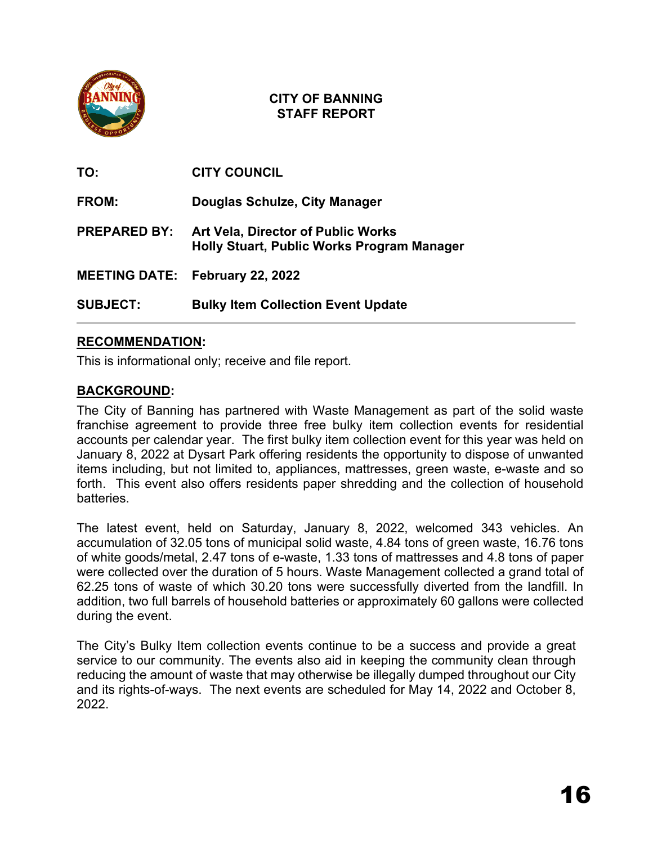

| TO:                 | <b>CITY COUNCIL</b>                                                                     |
|---------------------|-----------------------------------------------------------------------------------------|
| FROM:               | <b>Douglas Schulze, City Manager</b>                                                    |
| <b>PREPARED BY:</b> | <b>Art Vela, Director of Public Works</b><br>Holly Stuart, Public Works Program Manager |
|                     | <b>MEETING DATE: February 22, 2022</b>                                                  |
| <b>SUBJECT:</b>     | <b>Bulky Item Collection Event Update</b>                                               |

# **RECOMMENDATION:**

This is informational only; receive and file report.

# **BACKGROUND:**

The City of Banning has partnered with Waste Management as part of the solid waste franchise agreement to provide three free bulky item collection events for residential accounts per calendar year. The first bulky item collection event for this year was held on January 8, 2022 at Dysart Park offering residents the opportunity to dispose of unwanted items including, but not limited to, appliances, mattresses, green waste, e-waste and so forth. This event also offers residents paper shredding and the collection of household **batteries** 

The latest event, held on Saturday, January 8, 2022, welcomed 343 vehicles. An accumulation of 32.05 tons of municipal solid waste, 4.84 tons of green waste, 16.76 tons of white goods/metal, 2.47 tons of e-waste, 1.33 tons of mattresses and 4.8 tons of paper were collected over the duration of 5 hours. Waste Management collected a grand total of 62.25 tons of waste of which 30.20 tons were successfully diverted from the landfill. In addition, two full barrels of household batteries or approximately 60 gallons were collected during the event.

The City's Bulky Item collection events continue to be a success and provide a great service to our community. The events also aid in keeping the community clean through reducing the amount of waste that may otherwise be illegally dumped throughout our City and its rights-of-ways. The next events are scheduled for May 14, 2022 and October 8, 2022.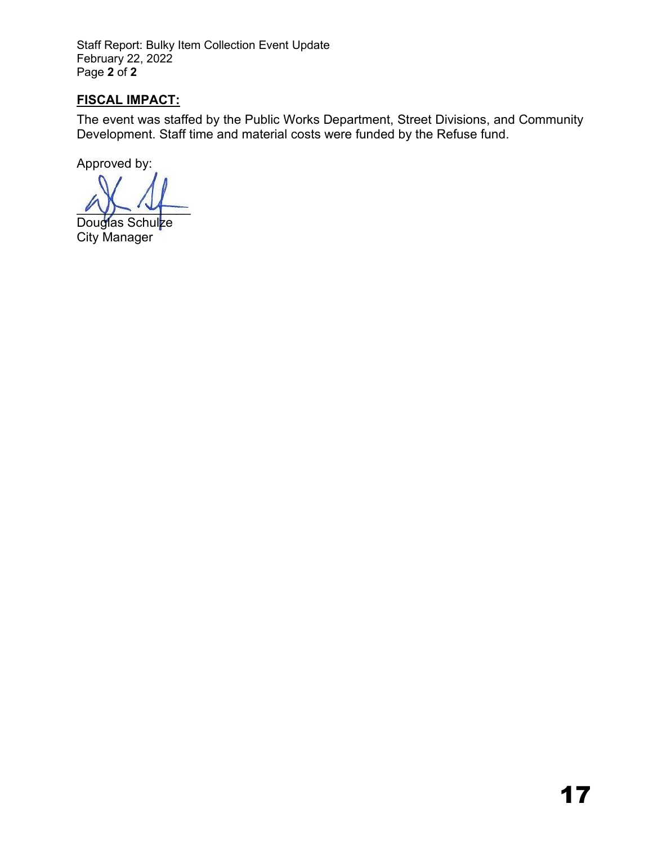Staff Report: Bulky Item Collection Event Update February 22, 2022 Page **2** of **2** 

# **FISCAL IMPACT:**

The event was staffed by the Public Works Department, Street Divisions, and Community Development. Staff time and material costs were funded by the Refuse fund.

 $\sqrt{1-\sqrt{1-\sqrt{1-\frac{1}{2-\frac{1}{2-\frac{1}{2-\frac{1}{2-\frac{1}{2-\frac{1}{2-\frac{1}{2-\frac{1}{2-\frac{1}{2-\frac{1}{2-\frac{1}{2-\frac{1}{2-\frac{1}{2-\frac{1}{2-\frac{1}{2-\frac{1}{2-\frac{1}{2-\frac{1}{2-\frac{1}{2-\frac{1}{2-\frac{1}{2-\frac{1}{2-\frac{1}{2-\frac{1}{2-\frac{1}{2-\frac{1}{2-\frac{1}{2-\frac{1}{2-\frac{1}{2-\frac{1}{2-\frac{1}{2-\frac{1}{2-\frac{1}{2-\frac{1}{2-\frac{1$ 

Douglas Schul<mark>z</mark>e City Manager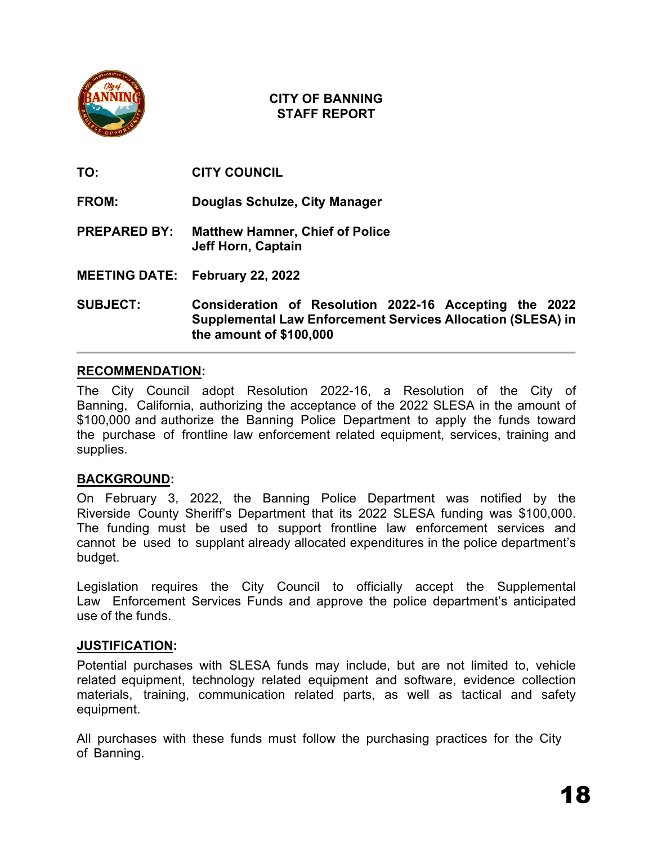

**TO: CITY COUNCIL**

- **FROM: Douglas Schulze, City Manager**
- **PREPARED BY: Matthew Hamner, Chief of Police Jeff Horn, Captain**
- **MEETING DATE: February 22, 2022**

**SUBJECT: Consideration of Resolution 2022-16 Accepting the 2022 Supplemental Law Enforcement Services Allocation (SLESA) in the amount of \$100,000**

## **RECOMMENDATION:**

The City Council adopt Resolution 2022-16, a Resolution of the City of Banning, California, authorizing the acceptance of the 2022 SLESA in the amount of \$100,000 and authorize the Banning Police Department to apply the funds toward the purchase of frontline law enforcement related equipment, services, training and supplies.

# **BACKGROUND:**

On February 3, 2022, the Banning Police Department was notified by the Riverside County Sheriff's Department that its 2022 SLESA funding was \$100,000. The funding must be used to support frontline law enforcement services and cannot be used to supplant already allocated expenditures in the police department's budget.

Legislation requires the City Council to officially accept the Supplemental Law Enforcement Services Funds and approve the police department's anticipated use of the funds.

## **JUSTIFICATION:**

Potential purchases with SLESA funds may include, but are not limited to, vehicle related equipment, technology related equipment and software, evidence collection materials, training, communication related parts, as well as tactical and safety equipment.

All purchases with these funds must follow the purchasing practices for the City of Banning.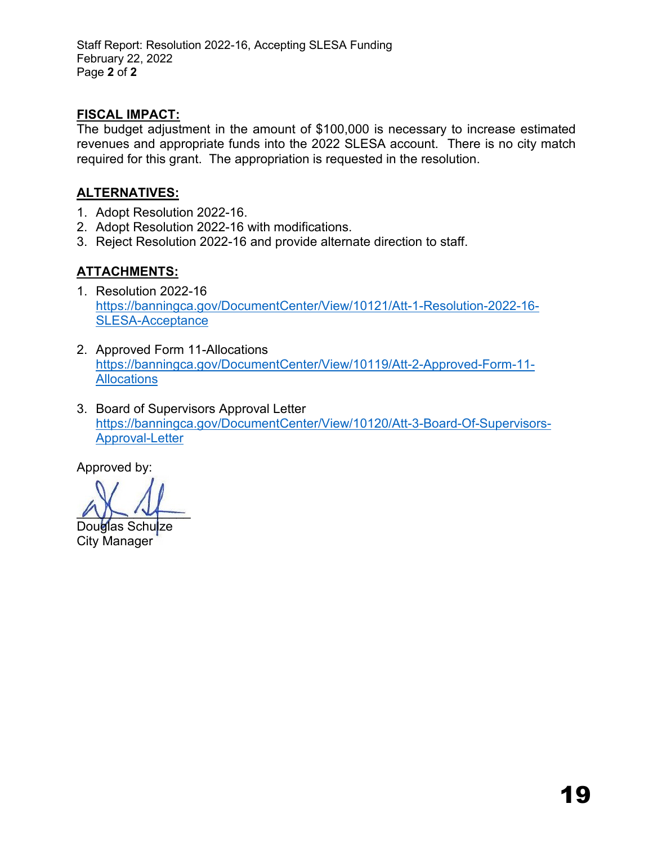Staff Report: Resolution 2022-16, Accepting SLESA Funding February 22, 2022 Page **2** of **2** 

# **FISCAL IMPACT:**

The budget adjustment in the amount of \$100,000 is necessary to increase estimated revenues and appropriate funds into the 2022 SLESA account. There is no city match required for this grant. The appropriation is requested in the resolution.

# **ALTERNATIVES:**

- 1. Adopt Resolution 2022-16.
- 2. Adopt Resolution 2022-16 with modifications.
- 3. Reject Resolution 2022-16 and provide alternate direction to staff.

# **ATTACHMENTS:**

- 1. Resolution 2022-16 [https://banningca.gov/DocumentCenter/View/10121/Att-1-Resolution-2022-16-](https://banningca.gov/DocumentCenter/View/10121/Att-1-Resolution-2022-16-SLESA-Acceptance) [SLESA-Acceptance](https://banningca.gov/DocumentCenter/View/10121/Att-1-Resolution-2022-16-SLESA-Acceptance)
- 2. Approved Form 11-Allocations [https://banningca.gov/DocumentCenter/View/10119/Att-2-Approved-Form-11-](https://banningca.gov/DocumentCenter/View/10119/Att-2-Approved-Form-11-Allocations) **[Allocations](https://banningca.gov/DocumentCenter/View/10119/Att-2-Approved-Form-11-Allocations)**
- 3. Board of Supervisors Approval Letter [https://banningca.gov/DocumentCenter/View/10120/Att-3-Board-Of-Supervisors-](https://banningca.gov/DocumentCenter/View/10120/Att-3-Board-Of-Supervisors-Approval-Letter)[Approval-Letter](https://banningca.gov/DocumentCenter/View/10120/Att-3-Board-Of-Supervisors-Approval-Letter)

 $22 - 44$ 

Douglas Schulze City Manager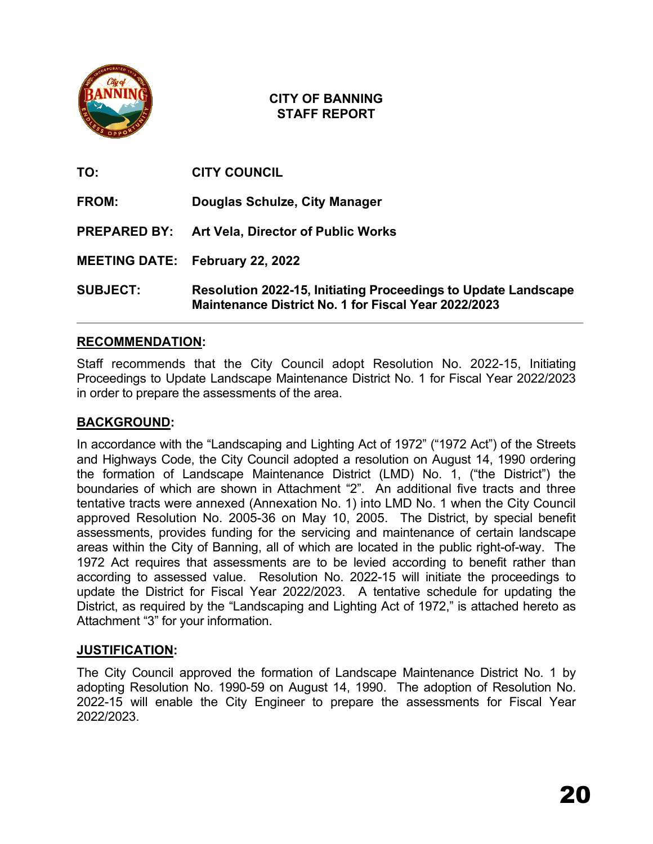

| TO:                 | <b>CITY COUNCIL</b>                                                                                                           |
|---------------------|-------------------------------------------------------------------------------------------------------------------------------|
| FROM:               | Douglas Schulze, City Manager                                                                                                 |
| <b>PREPARED BY:</b> | <b>Art Vela, Director of Public Works</b>                                                                                     |
|                     | <b>MEETING DATE: February 22, 2022</b>                                                                                        |
| <b>SUBJECT:</b>     | <b>Resolution 2022-15, Initiating Proceedings to Update Landscape</b><br>Maintenance District No. 1 for Fiscal Year 2022/2023 |

## **RECOMMENDATION:**

Staff recommends that the City Council adopt Resolution No. 2022-15, Initiating Proceedings to Update Landscape Maintenance District No. 1 for Fiscal Year 2022/2023 in order to prepare the assessments of the area.

## **BACKGROUND:**

In accordance with the "Landscaping and Lighting Act of 1972" ("1972 Act") of the Streets and Highways Code, the City Council adopted a resolution on August 14, 1990 ordering the formation of Landscape Maintenance District (LMD) No. 1, ("the District") the boundaries of which are shown in Attachment "2". An additional five tracts and three tentative tracts were annexed (Annexation No. 1) into LMD No. 1 when the City Council approved Resolution No. 2005-36 on May 10, 2005. The District, by special benefit assessments, provides funding for the servicing and maintenance of certain landscape areas within the City of Banning, all of which are located in the public right-of-way. The 1972 Act requires that assessments are to be levied according to benefit rather than according to assessed value. Resolution No. 2022-15 will initiate the proceedings to update the District for Fiscal Year 2022/2023. A tentative schedule for updating the District, as required by the "Landscaping and Lighting Act of 1972," is attached hereto as Attachment "3" for your information.

## **JUSTIFICATION:**

The City Council approved the formation of Landscape Maintenance District No. 1 by adopting Resolution No. 1990-59 on August 14, 1990. The adoption of Resolution No. 2022-15 will enable the City Engineer to prepare the assessments for Fiscal Year 2022/2023.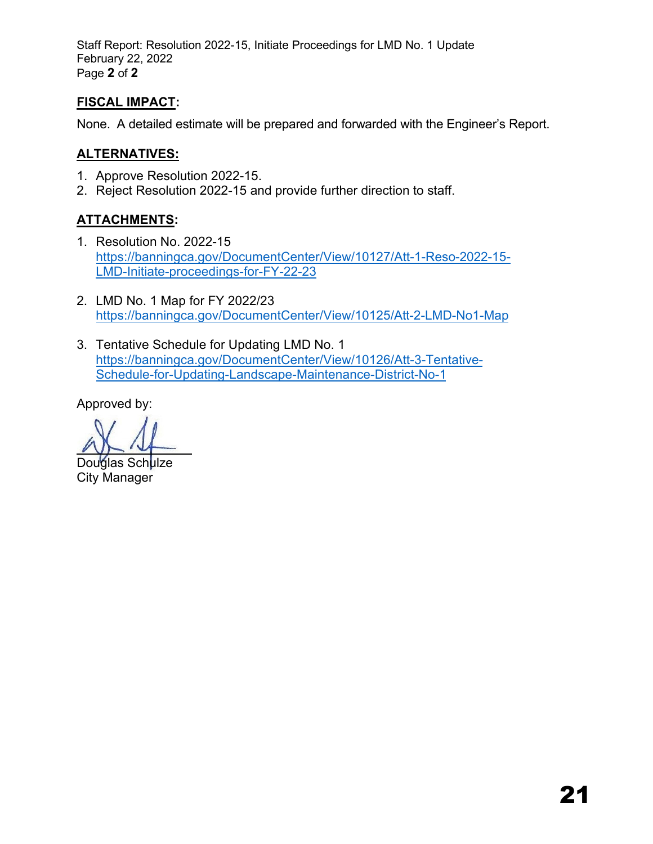Staff Report: Resolution 2022-15, Initiate Proceedings for LMD No. 1 Update February 22, 2022 Page **2** of **2**

# **FISCAL IMPACT:**

None. A detailed estimate will be prepared and forwarded with the Engineer's Report.

# **ALTERNATIVES:**

- 1. Approve Resolution 2022-15.
- 2. Reject Resolution 2022-15 and provide further direction to staff.

# **ATTACHMENTS:**

- 1. Resolution No. 2022-15 [https://banningca.gov/DocumentCenter/View/10127/Att-1-Reso-2022-15-](https://banningca.gov/DocumentCenter/View/10127/Att-1-Reso-2022-15-LMD-Initiate-proceedings-for-FY-22-23) [LMD-Initiate-proceedings-for-FY-2](https://banningca.gov/DocumentCenter/View/10127/Att-1-Reso-2022-15-LMD-Initiate-proceedings-for-FY-22-23)2-23
- 2. LMD No. 1 Map for FY 2022/23 <https://banningca.gov/DocumentCenter/View/10125/Att-2-LMD-No1-Map>
- 3. Tentative Schedule for Updating LMD No. 1 [https://banningca.gov/DocumentCenter/View/10126/Att-3-Tentative-](https://banningca.gov/DocumentCenter/View/10127/Att-1-Reso-2022-15-LMD-Initiate-proceedings-for-FY-22-23)[Schedule-for-Updating-Landscape](https://banningca.gov/DocumentCenter/View/10127/Att-1-Reso-2022-15-LMD-Initiate-proceedings-for-FY-22-23)-Maintenance-District-No-1

Douglas Schulze City Manager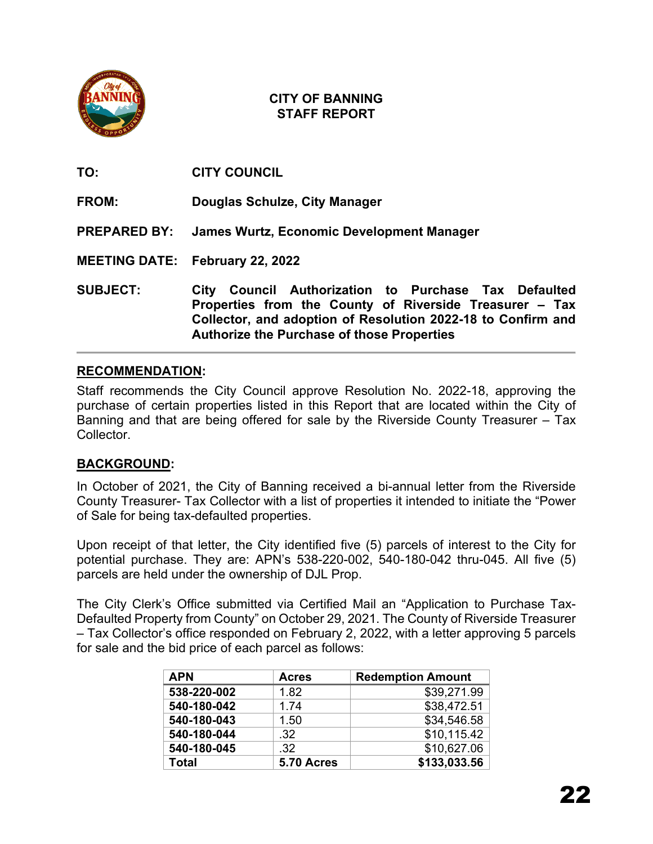

**TO: CITY COUNCIL FROM: Douglas Schulze, City Manager PREPARED BY: James Wurtz, Economic Development Manager MEETING DATE: February 22, 2022 SUBJECT: City Council Authorization to Purchase Tax Defaulted Properties from the County of Riverside Treasurer – Tax Collector, and adoption of Resolution 2022-18 to Confirm and** 

## **RECOMMENDATION:**

Staff recommends the City Council approve Resolution No. 2022-18, approving the purchase of certain properties listed in this Report that are located within the City of Banning and that are being offered for sale by the Riverside County Treasurer – Tax Collector.

**Authorize the Purchase of those Properties**

# **BACKGROUND:**

In October of 2021, the City of Banning received a bi-annual letter from the Riverside County Treasurer- Tax Collector with a list of properties it intended to initiate the "Power of Sale for being tax-defaulted properties.

Upon receipt of that letter, the City identified five (5) parcels of interest to the City for potential purchase. They are: APN's 538-220-002, 540-180-042 thru-045. All five (5) parcels are held under the ownership of DJL Prop.

The City Clerk's Office submitted via Certified Mail an "Application to Purchase Tax-Defaulted Property from County" on October 29, 2021. The County of Riverside Treasurer – Tax Collector's office responded on February 2, 2022, with a letter approving 5 parcels for sale and the bid price of each parcel as follows:

| <b>APN</b>  | <b>Acres</b> | <b>Redemption Amount</b> |
|-------------|--------------|--------------------------|
| 538-220-002 | 1.82         | \$39,271.99              |
| 540-180-042 | 1.74         | \$38,472.51              |
| 540-180-043 | 1.50         | \$34,546.58              |
| 540-180-044 | .32          | \$10,115.42              |
| 540-180-045 | .32          | \$10,627.06              |
| Total       | 5.70 Acres   | \$133,033.56             |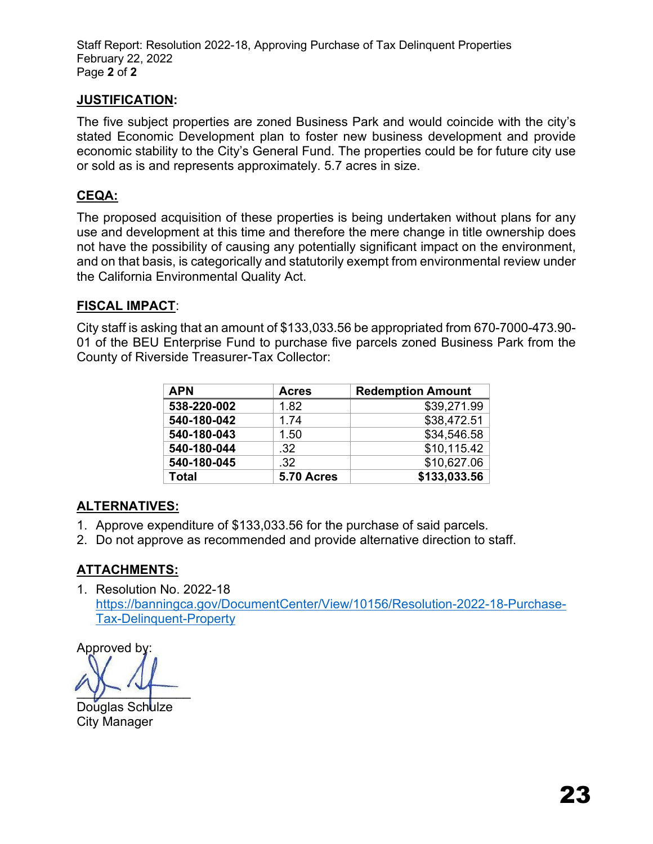Staff Report: Resolution 2022-18, Approving Purchase of Tax Delinquent Properties February 22, 2022 Page **2** of **2** 

# **JUSTIFICATION:**

The five subject properties are zoned Business Park and would coincide with the city's stated Economic Development plan to foster new business development and provide economic stability to the City's General Fund. The properties could be for future city use or sold as is and represents approximately. 5.7 acres in size.

# **CEQA:**

The proposed acquisition of these properties is being undertaken without plans for any use and development at this time and therefore the mere change in title ownership does not have the possibility of causing any potentially significant impact on the environment, and on that basis, is categorically and statutorily exempt from environmental review under the California Environmental Quality Act.

## **FISCAL IMPACT**:

City staff is asking that an amount of \$133,033.56 be appropriated from 670-7000-473.90- 01 of the BEU Enterprise Fund to purchase five parcels zoned Business Park from the County of Riverside Treasurer-Tax Collector:

| <b>APN</b>  | <b>Acres</b> | <b>Redemption Amount</b> |
|-------------|--------------|--------------------------|
| 538-220-002 | 1.82         | \$39,271.99              |
| 540-180-042 | 1.74         | \$38,472.51              |
| 540-180-043 | 1.50         | \$34,546.58              |
| 540-180-044 | .32          | \$10,115.42              |
| 540-180-045 | .32          | \$10,627.06              |
| Total       | 5.70 Acres   | \$133,033.56             |

## **ALTERNATIVES:**

- 1. Approve expenditure of \$133,033.56 for the purchase of said parcels.
- 2. Do not approve as recommended and provide alternative direction to staff.

# **ATTACHMENTS:**

1. Resolution No. 2022-18 [https://banningca.gov/DocumentCenter/View/10156/Resolution-2022-18-Purchase-](https://banningca.gov/DocumentCenter/View/10156/Resolution-2022-18-Purchase-Tax-Delinquent-Property)[Tax-Delinquent-Property](https://banningca.gov/DocumentCenter/View/10156/Resolution-2022-18-Purchase-Tax-Delinquent-Property)

Approved by:

 $y = -$ 

Douglas Schulze City Manager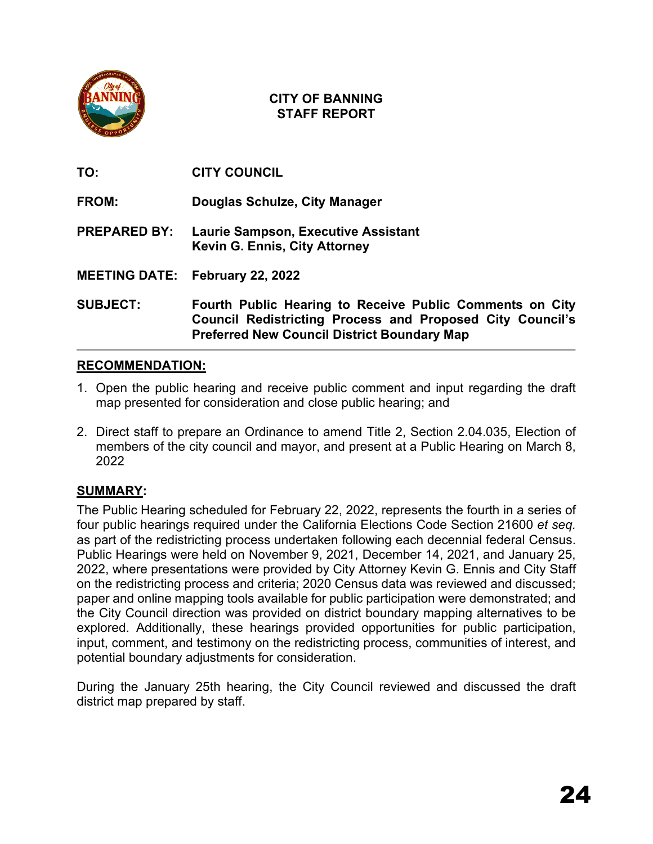

**TO: CITY COUNCIL**

**FROM: Douglas Schulze, City Manager**

**PREPARED BY: Laurie Sampson, Executive Assistant Kevin G. Ennis, City Attorney**

**MEETING DATE: February 22, 2022**

**SUBJECT: Fourth Public Hearing to Receive Public Comments on City Council Redistricting Process and Proposed City Council's Preferred New Council District Boundary Map**

# **RECOMMENDATION:**

- 1. Open the public hearing and receive public comment and input regarding the draft map presented for consideration and close public hearing; and
- 2. Direct staff to prepare an Ordinance to amend Title 2, Section 2.04.035, Election of members of the city council and mayor, and present at a Public Hearing on March 8, 2022

# **SUMMARY:**

The Public Hearing scheduled for February 22, 2022, represents the fourth in a series of four public hearings required under the California Elections Code Section 21600 *et seq.* as part of the redistricting process undertaken following each decennial federal Census. Public Hearings were held on November 9, 2021, December 14, 2021, and January 25, 2022, where presentations were provided by City Attorney Kevin G. Ennis and City Staff on the redistricting process and criteria; 2020 Census data was reviewed and discussed; paper and online mapping tools available for public participation were demonstrated; and the City Council direction was provided on district boundary mapping alternatives to be explored. Additionally, these hearings provided opportunities for public participation, input, comment, and testimony on the redistricting process, communities of interest, and potential boundary adjustments for consideration.

During the January 25th hearing, the City Council reviewed and discussed the draft district map prepared by staff.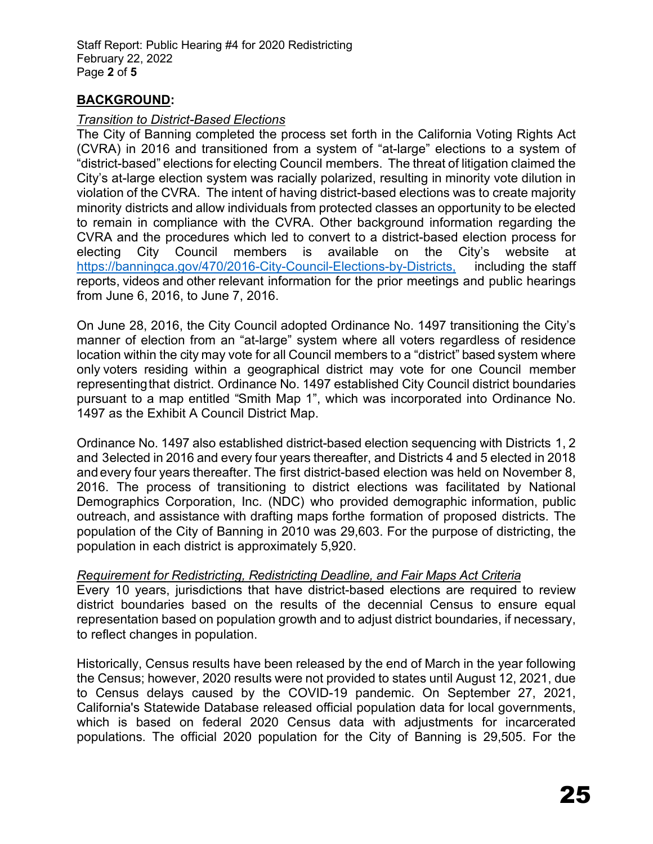Staff Report: Public Hearing #4 for 2020 Redistricting February 22, 2022 Page **2** of **5** 

# **BACKGROUND:**

#### *Transition to District-Based Elections*

The City of Banning completed the process set forth in the California Voting Rights Act (CVRA) in 2016 and transitioned from a system of "at-large" elections to a system of "district-based" elections for electing Council members. The threat of litigation claimed the City's at-large election system was racially polarized, resulting in minority vote dilution in violation of the CVRA. The intent of having district-based elections was to create majority minority districts and allow individuals from protected classes an opportunity to be elected to remain in compliance with the CVRA. Other background information regarding the CVRA and the procedures which led to convert to a district-based election process for electing City Council members is available on the City's website at [https://banningca.gov/470/2016-City-Council-Elections-by-Districts,](https://banningca.gov/470/2016-City-Council-Elections-by-Districts) including the staff reports, videos and other relevant information for the prior meetings and public hearings from June 6, 2016, to June 7, 2016.

On June 28, 2016, the City Council adopted Ordinance No. 1497 transitioning the City's manner of election from an "at-large" system where all voters regardless of residence location within the city may vote for all Council members to a "district" based system where only voters residing within a geographical district may vote for one Council member representing that district. Ordinance No. 1497 established City Council district boundaries pursuant to a map entitled "Smith Map 1", which was incorporated into Ordinance No. 1497 as the Exhibit A Council District Map.

Ordinance No. 1497 also established district-based election sequencing with Districts 1, 2 and 3 elected in 2016 and every four years thereafter, and Districts 4 and 5 elected in 2018 and every four years thereafter. The first district-based election was held on November 8, 2016. The process of transitioning to district elections was facilitated by National Demographics Corporation, Inc. (NDC) who provided demographic information, public outreach, and assistance with drafting maps forthe formation of proposed districts. The population of the City of Banning in 2010 was 29,603. For the purpose of districting, the population in each district is approximately 5,920.

## *Requirement for Redistricting, Redistricting Deadline, and Fair Maps Act Criteria*

Every 10 years, jurisdictions that have district-based elections are required to review district boundaries based on the results of the decennial Census to ensure equal representation based on population growth and to adjust district boundaries, if necessary, to reflect changes in population.

Historically, Census results have been released by the end of March in the year following the Census; however, 2020 results were not provided to states until August 12, 2021, due to Census delays caused by the COVID-19 pandemic. On September 27, 2021, California's Statewide Database released official population data for local governments, which is based on federal 2020 Census data with adjustments for incarcerated populations. The official 2020 population for the City of Banning is 29,505. For the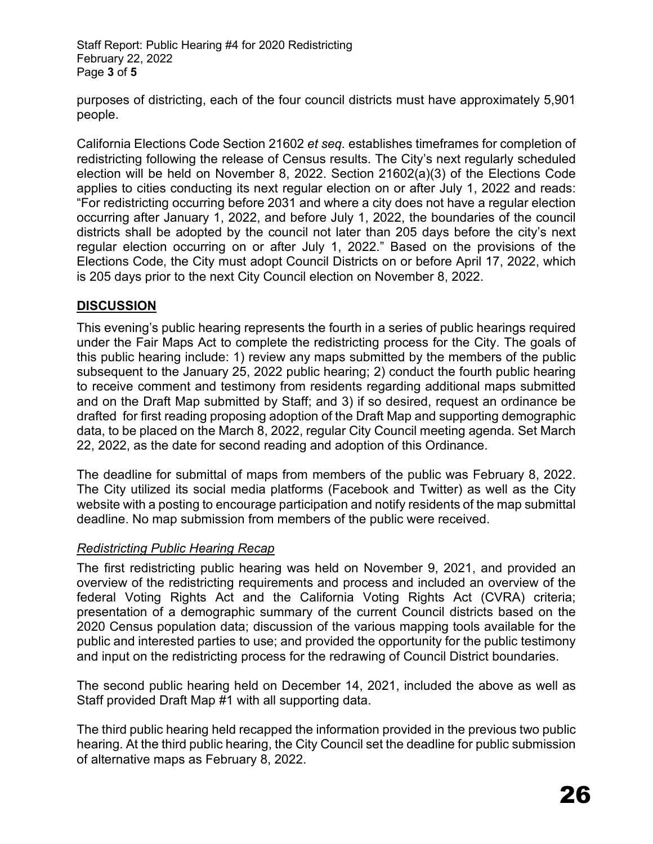Staff Report: Public Hearing #4 for 2020 Redistricting February 22, 2022 Page **3** of **5** 

purposes of districting, each of the four council districts must have approximately 5,901 people.

California Elections Code Section 21602 *et seq.* establishes timeframes for completion of redistricting following the release of Census results. The City's next regularly scheduled election will be held on November 8, 2022. Section 21602(a)(3) of the Elections Code applies to cities conducting its next regular election on or after July 1, 2022 and reads: "For redistricting occurring before 2031 and where a city does not have a regular election occurring after January 1, 2022, and before July 1, 2022, the boundaries of the council districts shall be adopted by the council not later than 205 days before the city's next regular election occurring on or after July 1, 2022." Based on the provisions of the Elections Code, the City must adopt Council Districts on or before April 17, 2022, which is 205 days prior to the next City Council election on November 8, 2022.

## **DISCUSSION**

This evening's public hearing represents the fourth in a series of public hearings required under the Fair Maps Act to complete the redistricting process for the City. The goals of this public hearing include: 1) review any maps submitted by the members of the public subsequent to the January 25, 2022 public hearing; 2) conduct the fourth public hearing to receive comment and testimony from residents regarding additional maps submitted and on the Draft Map submitted by Staff; and 3) if so desired, request an ordinance be drafted for first reading proposing adoption of the Draft Map and supporting demographic data, to be placed on the March 8, 2022, regular City Council meeting agenda. Set March 22, 2022, as the date for second reading and adoption of this Ordinance.

The deadline for submittal of maps from members of the public was February 8, 2022. The City utilized its social media platforms (Facebook and Twitter) as well as the City website with a posting to encourage participation and notify residents of the map submittal deadline. No map submission from members of the public were received.

## *Redistricting Public Hearing Recap*

The first redistricting public hearing was held on November 9, 2021, and provided an overview of the redistricting requirements and process and included an overview of the federal Voting Rights Act and the California Voting Rights Act (CVRA) criteria; presentation of a demographic summary of the current Council districts based on the 2020 Census population data; discussion of the various mapping tools available for the public and interested parties to use; and provided the opportunity for the public testimony and input on the redistricting process for the redrawing of Council District boundaries.

The second public hearing held on December 14, 2021, included the above as well as Staff provided Draft Map #1 with all supporting data.

The third public hearing held recapped the information provided in the previous two public hearing. At the third public hearing, the City Council set the deadline for public submission of alternative maps as February 8, 2022.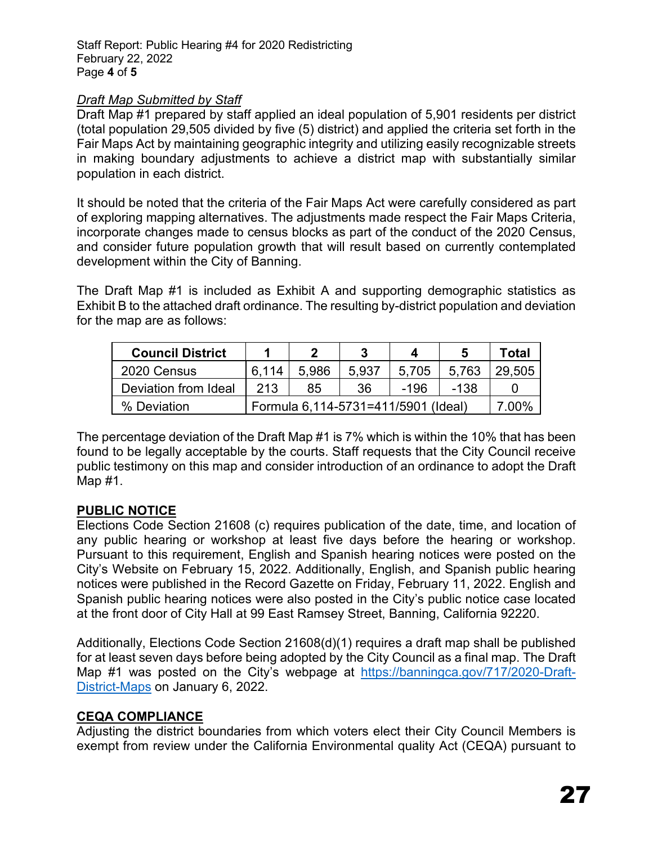Staff Report: Public Hearing #4 for 2020 Redistricting February 22, 2022 Page **4** of **5** 

## *Draft Map Submitted by Staff*

Draft Map #1 prepared by staff applied an ideal population of 5,901 residents per district (total population 29,505 divided by five (5) district) and applied the criteria set forth in the Fair Maps Act by maintaining geographic integrity and utilizing easily recognizable streets in making boundary adjustments to achieve a district map with substantially similar population in each district.

It should be noted that the criteria of the Fair Maps Act were carefully considered as part of exploring mapping alternatives. The adjustments made respect the Fair Maps Criteria, incorporate changes made to census blocks as part of the conduct of the 2020 Census, and consider future population growth that will result based on currently contemplated development within the City of Banning.

The Draft Map #1 is included as Exhibit A and supporting demographic statistics as Exhibit B to the attached draft ordinance. The resulting by-district population and deviation for the map are as follows:

| <b>Council District</b> |                                     |       |       |       |       | Total  |
|-------------------------|-------------------------------------|-------|-------|-------|-------|--------|
| 2020 Census             | ჩ 114                               | 5.986 | 5.937 | 5.705 | 5.763 | 29.505 |
| Deviation from Ideal    | 213                                 | 85    | 36    | -196  | -138  |        |
| % Deviation             | Formula 6,114-5731=411/5901 (Ideal) |       |       |       |       | ეი%    |

The percentage deviation of the Draft Map #1 is 7% which is within the 10% that has been found to be legally acceptable by the courts. Staff requests that the City Council receive public testimony on this map and consider introduction of an ordinance to adopt the Draft Map #1.

# **PUBLIC NOTICE**

Elections Code Section 21608 (c) requires publication of the date, time, and location of any public hearing or workshop at least five days before the hearing or workshop. Pursuant to this requirement, English and Spanish hearing notices were posted on the City's Website on February 15, 2022. Additionally, English, and Spanish public hearing notices were published in the Record Gazette on Friday, February 11, 2022. English and Spanish public hearing notices were also posted in the City's public notice case located at the front door of City Hall at 99 East Ramsey Street, Banning, California 92220.

Additionally, Elections Code Section 21608(d)(1) requires a draft map shall be published for at least seven days before being adopted by the City Council as a final map. The Draft Map #1 was posted on the City's webpage at [https://banningca.gov/717/2020-Draft-](https://banningca.gov/717/2020-Draft-District-Maps)[District-Maps](https://banningca.gov/717/2020-Draft-District-Maps) on January 6, 2022.

# **CEQA COMPLIANCE**

Adjusting the district boundaries from which voters elect their City Council Members is exempt from review under the California Environmental quality Act (CEQA) pursuant to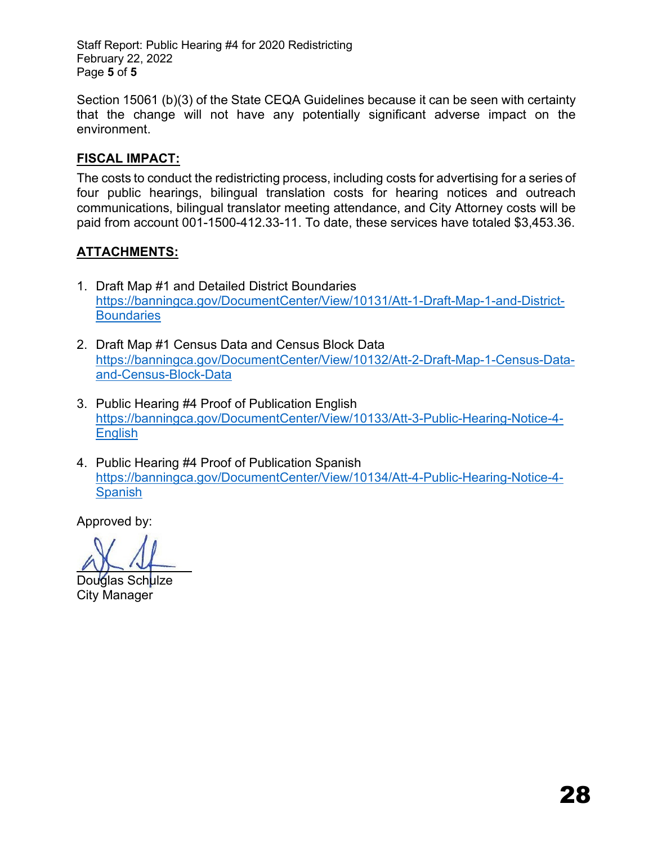Staff Report: Public Hearing #4 for 2020 Redistricting February 22, 2022 Page **5** of **5** 

Section 15061 (b)(3) of the State CEQA Guidelines because it can be seen with certainty that the change will not have any potentially significant adverse impact on the environment.

## **FISCAL IMPACT:**

The costs to conduct the redistricting process, including costs for advertising for a series of four public hearings, bilingual translation costs for hearing notices and outreach communications, bilingual translator meeting attendance, and City Attorney costs will be paid from account 001-1500-412.33-11. To date, these services have totaled \$3,453.36.

# **ATTACHMENTS:**

- 1. Draft Map #1 and Detailed District Boundaries [https://banningca.gov/DocumentCenter/View/10131/Att-1-Draft-Map-1-and-District-](https://banningca.gov/DocumentCenter/View/10131/Att-1-Draft-Map-1-and-District-Boundaries)**Boundaries**
- 2. Draft Map #1 Census Data and Census Block Data [https://banningca.gov/DocumentCenter/View/10132/Att-2-Draft-Map-1-Census-Data](https://banningca.gov/DocumentCenter/View/10132/Att-2-Draft-Map-1-Census-Data-and-Census-Block-Data)[and-Census-Block-Data](https://banningca.gov/DocumentCenter/View/10132/Att-2-Draft-Map-1-Census-Data-and-Census-Block-Data)
- 3. Public Hearing #4 Proof of Publication English [https://banningca.gov/DocumentCenter/View/10133/Att-3-Public-Hearing-Notice-4-](https://banningca.gov/DocumentCenter/View/10133/Att-3-Public-Hearing-Notice-4-English) **English**
- 4. Public Hearing #4 Proof of Publication Spanish [https://banningca.gov/DocumentCenter/View/10134/Att-4-Public-Hearing-Notice-4-](https://banningca.gov/DocumentCenter/View/10134/Att-4-Public-Hearing-Notice-4-Spanish) **Spanish**

Douglas Sch<mark>ulze</mark> City Manager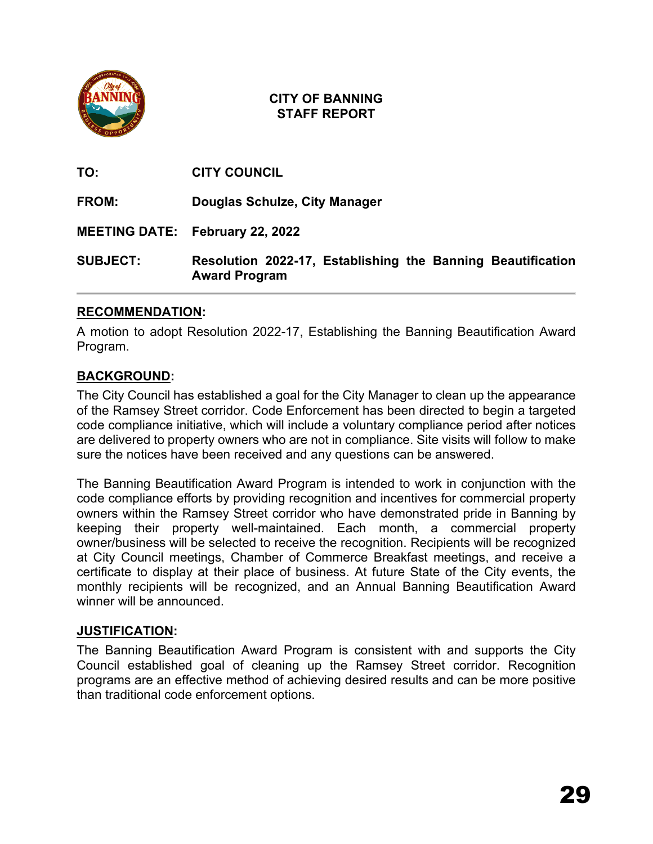

| <b>SUBJECT:</b> | Resolution 2022-17, Establishing the Banning Beautification<br><b>Award Program</b> |
|-----------------|-------------------------------------------------------------------------------------|
|                 | <b>MEETING DATE: February 22, 2022</b>                                              |
| <b>FROM:</b>    | Douglas Schulze, City Manager                                                       |
| TO:             | <b>CITY COUNCIL</b>                                                                 |

# **RECOMMENDATION:**

A motion to adopt Resolution 2022-17, Establishing the Banning Beautification Award Program.

## **BACKGROUND:**

The City Council has established a goal for the City Manager to clean up the appearance of the Ramsey Street corridor. Code Enforcement has been directed to begin a targeted code compliance initiative, which will include a voluntary compliance period after notices are delivered to property owners who are not in compliance. Site visits will follow to make sure the notices have been received and any questions can be answered.

The Banning Beautification Award Program is intended to work in conjunction with the code compliance efforts by providing recognition and incentives for commercial property owners within the Ramsey Street corridor who have demonstrated pride in Banning by keeping their property well-maintained. Each month, a commercial property owner/business will be selected to receive the recognition. Recipients will be recognized at City Council meetings, Chamber of Commerce Breakfast meetings, and receive a certificate to display at their place of business. At future State of the City events, the monthly recipients will be recognized, and an Annual Banning Beautification Award winner will be announced.

## **JUSTIFICATION:**

The Banning Beautification Award Program is consistent with and supports the City Council established goal of cleaning up the Ramsey Street corridor. Recognition programs are an effective method of achieving desired results and can be more positive than traditional code enforcement options.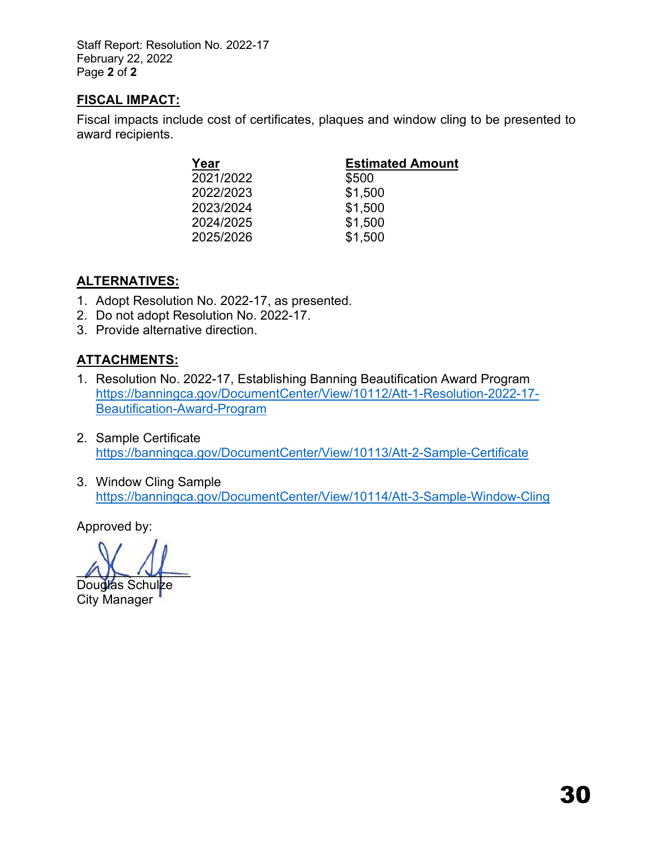Staff Report: Resolution No. 2022-17 February 22, 2022 Page **2** of **2** 

## **FISCAL IMPACT:**

Fiscal impacts include cost of certificates, plaques and window cling to be presented to award recipients.

| Year      | <b>Estimated Amount</b> |
|-----------|-------------------------|
| 2021/2022 | \$500                   |
| 2022/2023 | \$1,500                 |
| 2023/2024 | \$1,500                 |
| 2024/2025 | \$1,500                 |
| 2025/2026 | \$1,500                 |

# **ALTERNATIVES:**

- 1. Adopt Resolution No. 2022-17, as presented.
- 2. Do not adopt Resolution No. 2022-17.
- 3. Provide alternative direction.

# **ATTACHMENTS:**

- 1. Resolution No. 2022-17, Establishing Banning Beautification Award Program [https://banningca.gov/DocumentCenter/View/10112/Att-1-Resolution-2022-17-](https://banningca.gov/DocumentCenter/View/10112/Att-1-Resolution-2022-17-Beautification-Award-Program) [Beautification-Award-Program](https://banningca.gov/DocumentCenter/View/10112/Att-1-Resolution-2022-17-Beautification-Award-Program)
- 2. Sample Certificate <https://banningca.gov/DocumentCenter/View/10113/Att-2-Sample-Certificate>
- 3. Window Cling Sample <https://banningca.gov/DocumentCenter/View/10114/Att-3-Sample-Window-Cling>

 $ADU$ 

Douglas Schulze City Manager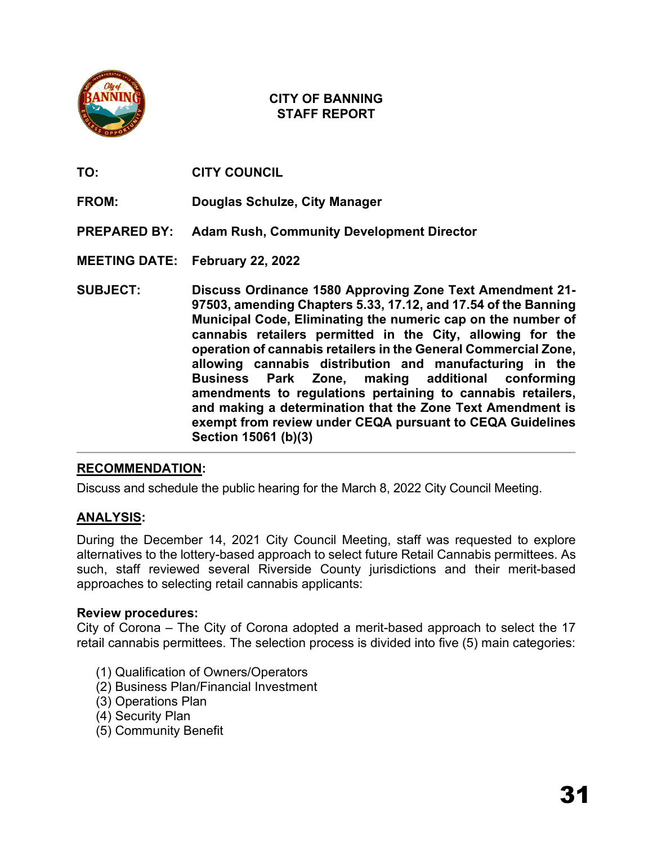

**TO: CITY COUNCIL**

- **FROM: Douglas Schulze, City Manager**
- **PREPARED BY: Adam Rush, Community Development Director**

**MEETING DATE: February 22, 2022**

**SUBJECT: Discuss Ordinance 1580 Approving Zone Text Amendment 21- 97503, amending Chapters 5.33, 17.12, and 17.54 of the Banning Municipal Code, Eliminating the numeric cap on the number of cannabis retailers permitted in the City, allowing for the operation of cannabis retailers in the General Commercial Zone, allowing cannabis distribution and manufacturing in the Business Park Zone, making additional conforming amendments to regulations pertaining to cannabis retailers, and making a determination that the Zone Text Amendment is exempt from review under CEQA pursuant to CEQA Guidelines Section 15061 (b)(3)**

## **RECOMMENDATION:**

Discuss and schedule the public hearing for the March 8, 2022 City Council Meeting.

# **ANALYSIS:**

During the December 14, 2021 City Council Meeting, staff was requested to explore alternatives to the lottery-based approach to select future Retail Cannabis permittees. As such, staff reviewed several Riverside County jurisdictions and their merit-based approaches to selecting retail cannabis applicants:

## **Review procedures:**

City of Corona – The City of Corona adopted a merit-based approach to select the 17 retail cannabis permittees. The selection process is divided into five (5) main categories:

- (1) Qualification of Owners/Operators
- (2) Business Plan/Financial Investment
- (3) Operations Plan
- (4) Security Plan
- (5) Community Benefit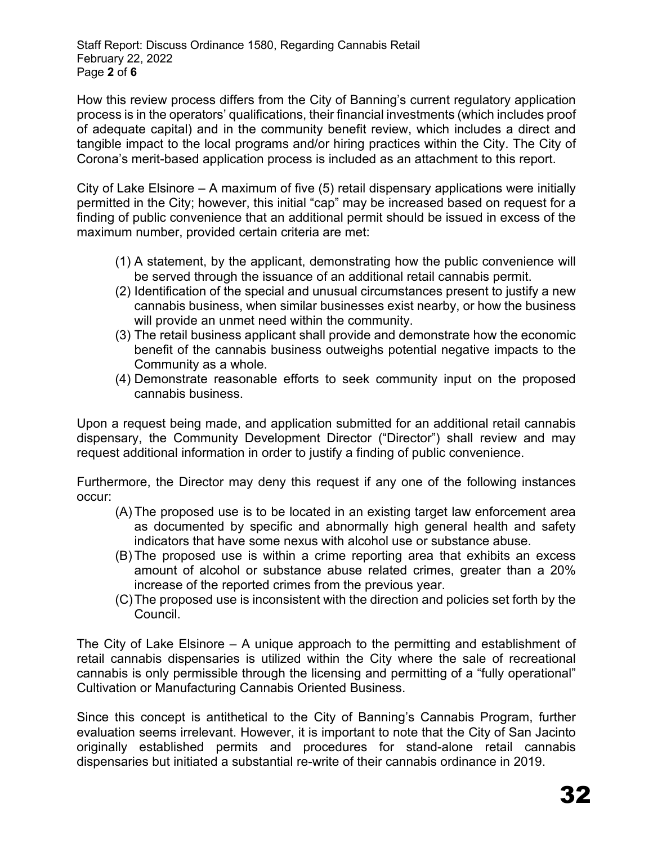Staff Report: Discuss Ordinance 1580, Regarding Cannabis Retail February 22, 2022 Page **2** of **6** 

How this review process differs from the City of Banning's current regulatory application process is in the operators' qualifications, their financial investments (which includes proof of adequate capital) and in the community benefit review, which includes a direct and tangible impact to the local programs and/or hiring practices within the City. The City of Corona's merit-based application process is included as an attachment to this report.

City of Lake Elsinore – A maximum of five (5) retail dispensary applications were initially permitted in the City; however, this initial "cap" may be increased based on request for a finding of public convenience that an additional permit should be issued in excess of the maximum number, provided certain criteria are met:

- (1) A statement, by the applicant, demonstrating how the public convenience will be served through the issuance of an additional retail cannabis permit.
- (2) Identification of the special and unusual circumstances present to justify a new cannabis business, when similar businesses exist nearby, or how the business will provide an unmet need within the community.
- (3) The retail business applicant shall provide and demonstrate how the economic benefit of the cannabis business outweighs potential negative impacts to the Community as a whole.
- (4) Demonstrate reasonable efforts to seek community input on the proposed cannabis business.

Upon a request being made, and application submitted for an additional retail cannabis dispensary, the Community Development Director ("Director") shall review and may request additional information in order to justify a finding of public convenience.

Furthermore, the Director may deny this request if any one of the following instances occur:

- (A) The proposed use is to be located in an existing target law enforcement area as documented by specific and abnormally high general health and safety indicators that have some nexus with alcohol use or substance abuse.
- (B) The proposed use is within a crime reporting area that exhibits an excess amount of alcohol or substance abuse related crimes, greater than a 20% increase of the reported crimes from the previous year.
- (C)The proposed use is inconsistent with the direction and policies set forth by the Council.

The City of Lake Elsinore – A unique approach to the permitting and establishment of retail cannabis dispensaries is utilized within the City where the sale of recreational cannabis is only permissible through the licensing and permitting of a "fully operational" Cultivation or Manufacturing Cannabis Oriented Business.

Since this concept is antithetical to the City of Banning's Cannabis Program, further evaluation seems irrelevant. However, it is important to note that the City of San Jacinto originally established permits and procedures for stand-alone retail cannabis dispensaries but initiated a substantial re-write of their cannabis ordinance in 2019.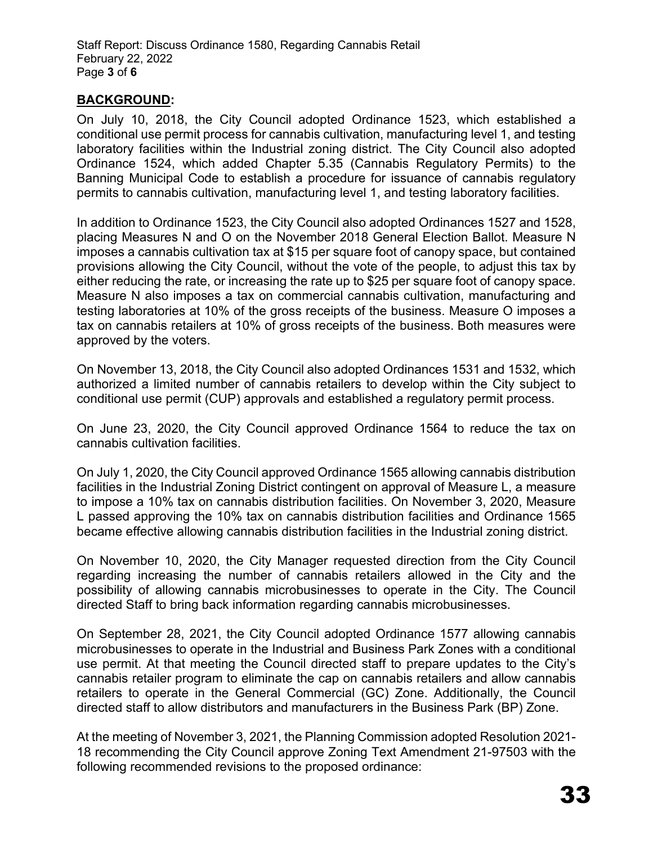Staff Report: Discuss Ordinance 1580, Regarding Cannabis Retail February 22, 2022 Page **3** of **6** 

## **BACKGROUND:**

On July 10, 2018, the City Council adopted Ordinance 1523, which established a conditional use permit process for cannabis cultivation, manufacturing level 1, and testing laboratory facilities within the Industrial zoning district. The City Council also adopted Ordinance 1524, which added Chapter 5.35 (Cannabis Regulatory Permits) to the Banning Municipal Code to establish a procedure for issuance of cannabis regulatory permits to cannabis cultivation, manufacturing level 1, and testing laboratory facilities.

In addition to Ordinance 1523, the City Council also adopted Ordinances 1527 and 1528, placing Measures N and O on the November 2018 General Election Ballot. Measure N imposes a cannabis cultivation tax at \$15 per square foot of canopy space, but contained provisions allowing the City Council, without the vote of the people, to adjust this tax by either reducing the rate, or increasing the rate up to \$25 per square foot of canopy space. Measure N also imposes a tax on commercial cannabis cultivation, manufacturing and testing laboratories at 10% of the gross receipts of the business. Measure O imposes a tax on cannabis retailers at 10% of gross receipts of the business. Both measures were approved by the voters.

On November 13, 2018, the City Council also adopted Ordinances 1531 and 1532, which authorized a limited number of cannabis retailers to develop within the City subject to conditional use permit (CUP) approvals and established a regulatory permit process.

On June 23, 2020, the City Council approved Ordinance 1564 to reduce the tax on cannabis cultivation facilities.

On July 1, 2020, the City Council approved Ordinance 1565 allowing cannabis distribution facilities in the Industrial Zoning District contingent on approval of Measure L, a measure to impose a 10% tax on cannabis distribution facilities. On November 3, 2020, Measure L passed approving the 10% tax on cannabis distribution facilities and Ordinance 1565 became effective allowing cannabis distribution facilities in the Industrial zoning district.

On November 10, 2020, the City Manager requested direction from the City Council regarding increasing the number of cannabis retailers allowed in the City and the possibility of allowing cannabis microbusinesses to operate in the City. The Council directed Staff to bring back information regarding cannabis microbusinesses.

On September 28, 2021, the City Council adopted Ordinance 1577 allowing cannabis microbusinesses to operate in the Industrial and Business Park Zones with a conditional use permit. At that meeting the Council directed staff to prepare updates to the City's cannabis retailer program to eliminate the cap on cannabis retailers and allow cannabis retailers to operate in the General Commercial (GC) Zone. Additionally, the Council directed staff to allow distributors and manufacturers in the Business Park (BP) Zone.

At the meeting of November 3, 2021, the Planning Commission adopted Resolution 2021- 18 recommending the City Council approve Zoning Text Amendment 21-97503 with the following recommended revisions to the proposed ordinance: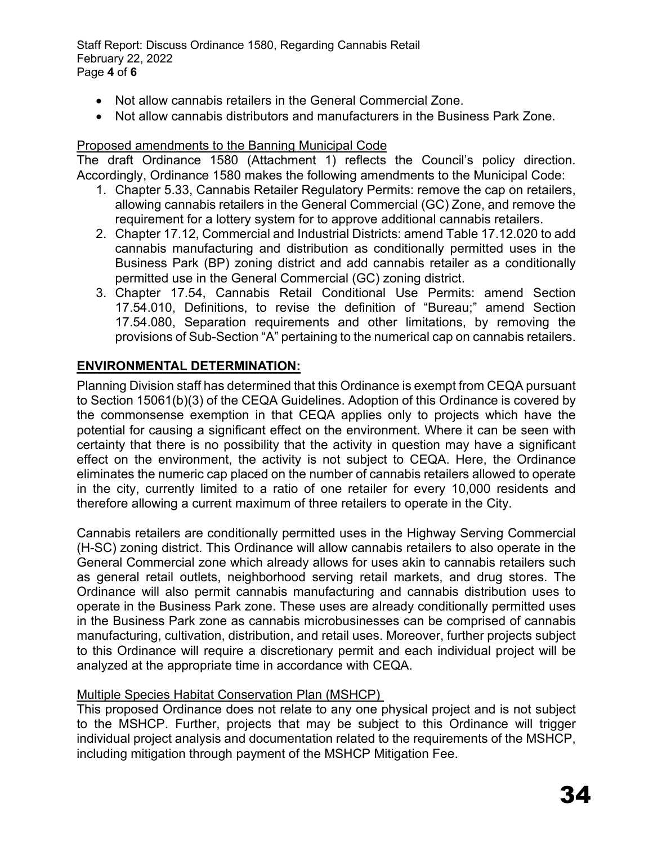Staff Report: Discuss Ordinance 1580, Regarding Cannabis Retail February 22, 2022 Page **4** of **6** 

- Not allow cannabis retailers in the General Commercial Zone.
- Not allow cannabis distributors and manufacturers in the Business Park Zone.

## Proposed amendments to the Banning Municipal Code

The draft Ordinance 1580 (Attachment 1) reflects the Council's policy direction. Accordingly, Ordinance 1580 makes the following amendments to the Municipal Code:

- 1. Chapter 5.33, Cannabis Retailer Regulatory Permits: remove the cap on retailers, allowing cannabis retailers in the General Commercial (GC) Zone, and remove the requirement for a lottery system for to approve additional cannabis retailers.
- 2. Chapter 17.12, Commercial and Industrial Districts: amend Table 17.12.020 to add cannabis manufacturing and distribution as conditionally permitted uses in the Business Park (BP) zoning district and add cannabis retailer as a conditionally permitted use in the General Commercial (GC) zoning district.
- 3. Chapter 17.54, Cannabis Retail Conditional Use Permits: amend Section 17.54.010, Definitions, to revise the definition of "Bureau;" amend Section 17.54.080, Separation requirements and other limitations, by removing the provisions of Sub-Section "A" pertaining to the numerical cap on cannabis retailers.

# **ENVIRONMENTAL DETERMINATION:**

Planning Division staff has determined that this Ordinance is exempt from CEQA pursuant to Section 15061(b)(3) of the CEQA Guidelines. Adoption of this Ordinance is covered by the commonsense exemption in that CEQA applies only to projects which have the potential for causing a significant effect on the environment. Where it can be seen with certainty that there is no possibility that the activity in question may have a significant effect on the environment, the activity is not subject to CEQA. Here, the Ordinance eliminates the numeric cap placed on the number of cannabis retailers allowed to operate in the city, currently limited to a ratio of one retailer for every 10,000 residents and therefore allowing a current maximum of three retailers to operate in the City.

Cannabis retailers are conditionally permitted uses in the Highway Serving Commercial (H-SC) zoning district. This Ordinance will allow cannabis retailers to also operate in the General Commercial zone which already allows for uses akin to cannabis retailers such as general retail outlets, neighborhood serving retail markets, and drug stores. The Ordinance will also permit cannabis manufacturing and cannabis distribution uses to operate in the Business Park zone. These uses are already conditionally permitted uses in the Business Park zone as cannabis microbusinesses can be comprised of cannabis manufacturing, cultivation, distribution, and retail uses. Moreover, further projects subject to this Ordinance will require a discretionary permit and each individual project will be analyzed at the appropriate time in accordance with CEQA.

## Multiple Species Habitat Conservation Plan (MSHCP)

This proposed Ordinance does not relate to any one physical project and is not subject to the MSHCP. Further, projects that may be subject to this Ordinance will trigger individual project analysis and documentation related to the requirements of the MSHCP, including mitigation through payment of the MSHCP Mitigation Fee.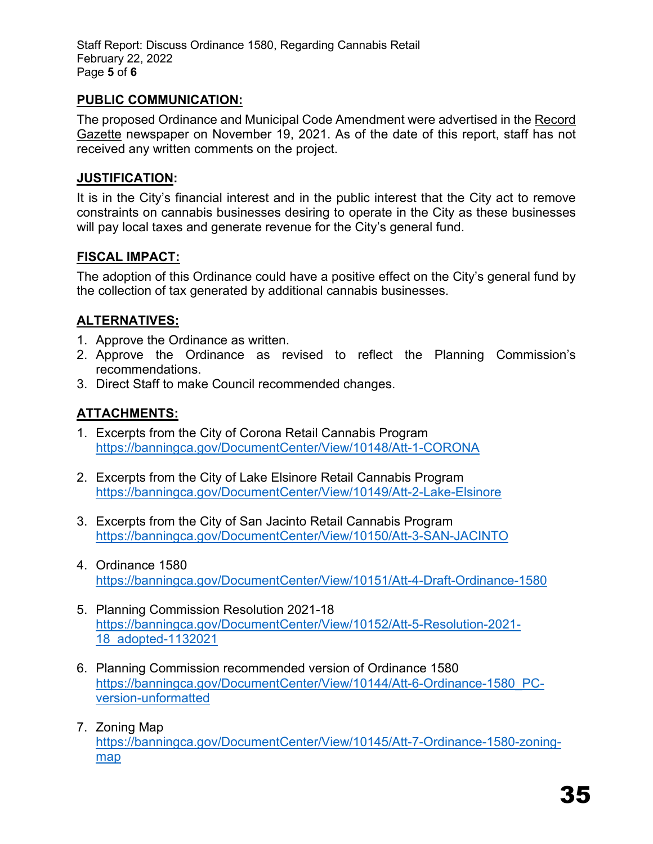Staff Report: Discuss Ordinance 1580, Regarding Cannabis Retail February 22, 2022 Page **5** of **6** 

# **PUBLIC COMMUNICATION:**

The proposed Ordinance and Municipal Code Amendment were advertised in the Record Gazette newspaper on November 19, 2021. As of the date of this report, staff has not received any written comments on the project.

## **JUSTIFICATION:**

It is in the City's financial interest and in the public interest that the City act to remove constraints on cannabis businesses desiring to operate in the City as these businesses will pay local taxes and generate revenue for the City's general fund.

# **FISCAL IMPACT:**

The adoption of this Ordinance could have a positive effect on the City's general fund by the collection of tax generated by additional cannabis businesses.

# **ALTERNATIVES:**

- 1. Approve the Ordinance as written.
- 2. Approve the Ordinance as revised to reflect the Planning Commission's recommendations.
- 3. Direct Staff to make Council recommended changes.

# **ATTACHMENTS:**

- 1. Excerpts from the City of Corona Retail Cannabis Program <https://banningca.gov/DocumentCenter/View/10148/Att-1-CORONA>
- 2. Excerpts from the City of Lake Elsinore Retail Cannabis Program <https://banningca.gov/DocumentCenter/View/10149/Att-2-Lake-Elsinore>
- 3. Excerpts from the City of San Jacinto Retail Cannabis Program <https://banningca.gov/DocumentCenter/View/10150/Att-3-SAN-JACINTO>
- 4. Ordinance 1580 <https://banningca.gov/DocumentCenter/View/10151/Att-4-Draft-Ordinance-1580>
- 5. Planning Commission Resolution 2021-18 [https://banningca.gov/DocumentCenter/View/10152/Att-5-Resolution-2021-](https://banningca.gov/DocumentCenter/View/10152/Att-5-Resolution-2021-18_adopted-1132021) [18\\_adopted-1132021](https://banningca.gov/DocumentCenter/View/10152/Att-5-Resolution-2021-18_adopted-1132021)
- 6. Planning Commission recommended version of Ordinance 1580 [https://banningca.gov/DocumentCenter/View/10144/Att-6-Ordinance-1580\\_PC](https://banningca.gov/DocumentCenter/View/10144/Att-6-Ordinance-1580_PC-version-unformatted)[version-unformatted](https://banningca.gov/DocumentCenter/View/10144/Att-6-Ordinance-1580_PC-version-unformatted)
- 7. Zoning Map [https://banningca.gov/DocumentCenter/View/10145/Att-7-Ordinance-1580-zoning](https://banningca.gov/DocumentCenter/View/10145/Att-7-Ordinance-1580-zoning-map)[map](https://banningca.gov/DocumentCenter/View/10145/Att-7-Ordinance-1580-zoning-map)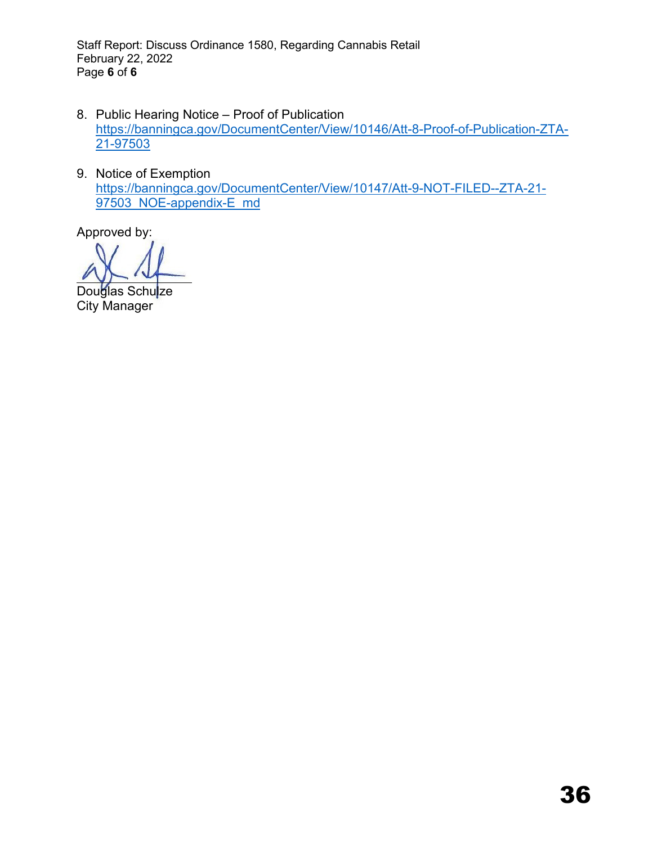Staff Report: Discuss Ordinance 1580, Regarding Cannabis Retail February 22, 2022 Page **6** of **6** 

- 8. Public Hearing Notice Proof of Publication [https://banningca.gov/DocumentCenter/View/10146/Att-8-Proof-of-Publication-ZTA-](https://banningca.gov/DocumentCenter/View/10146/Att-8-Proof-of-Publication-ZTA-21-97503)[21-97503](https://banningca.gov/DocumentCenter/View/10146/Att-8-Proof-of-Publication-ZTA-21-97503)
- 9. Notice of Exemption [https://banningca.gov/DocumentCenter/View/10147/Att-9-NOT-FILED--ZTA-21-](https://banningca.gov/DocumentCenter/View/10147/Att-9-NOT-FILED--ZTA-21-97503_NOE-appendix-E_md) 97503 NOE-appendix-E\_md

Douglas Schu<mark>l</mark>ze City Manager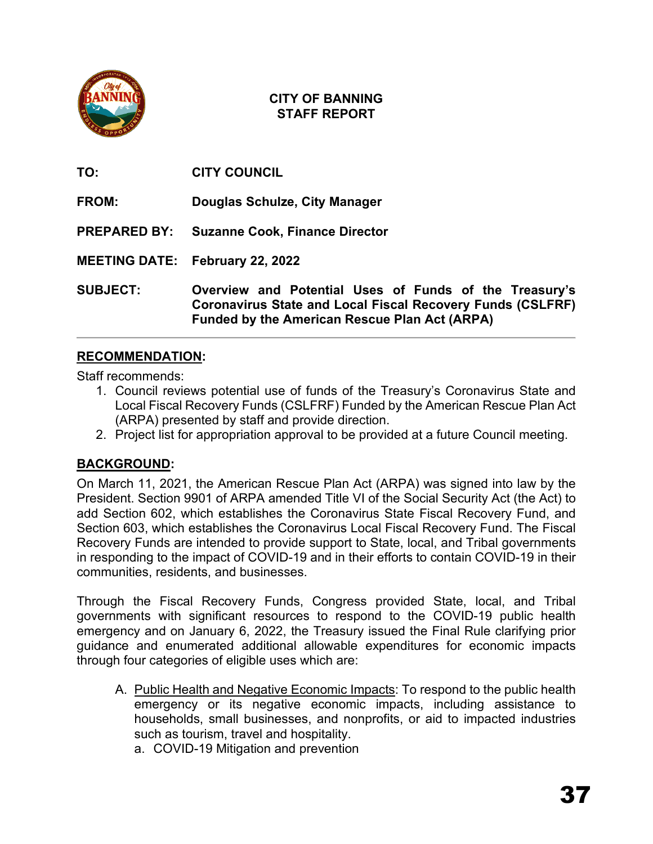

| TO:                 | <b>CITY COUNCIL</b>                                                                                                                                                                 |
|---------------------|-------------------------------------------------------------------------------------------------------------------------------------------------------------------------------------|
| FROM:               | Douglas Schulze, City Manager                                                                                                                                                       |
| <b>PREPARED BY:</b> | <b>Suzanne Cook, Finance Director</b>                                                                                                                                               |
|                     | <b>MEETING DATE: February 22, 2022</b>                                                                                                                                              |
| <b>SUBJECT:</b>     | Overview and Potential Uses of Funds of the Treasury's<br><b>Coronavirus State and Local Fiscal Recovery Funds (CSLFRF)</b><br><b>Funded by the American Rescue Plan Act (ARPA)</b> |

# **RECOMMENDATION:**

Staff recommends:

- 1. Council reviews potential use of funds of the Treasury's Coronavirus State and Local Fiscal Recovery Funds (CSLFRF) Funded by the American Rescue Plan Act (ARPA) presented by staff and provide direction.
- 2. Project list for appropriation approval to be provided at a future Council meeting.

# **BACKGROUND:**

On March 11, 2021, the American Rescue Plan Act (ARPA) was signed into law by the President. Section 9901 of ARPA amended Title VI of the Social Security Act (the Act) to add Section 602, which establishes the Coronavirus State Fiscal Recovery Fund, and Section 603, which establishes the Coronavirus Local Fiscal Recovery Fund. The Fiscal Recovery Funds are intended to provide support to State, local, and Tribal governments in responding to the impact of COVID-19 and in their efforts to contain COVID-19 in their communities, residents, and businesses.

Through the Fiscal Recovery Funds, Congress provided State, local, and Tribal governments with significant resources to respond to the COVID-19 public health emergency and on January 6, 2022, the Treasury issued the Final Rule clarifying prior guidance and enumerated additional allowable expenditures for economic impacts through four categories of eligible uses which are:

- A. Public Health and Negative Economic Impacts: To respond to the public health emergency or its negative economic impacts, including assistance to households, small businesses, and nonprofits, or aid to impacted industries such as tourism, travel and hospitality.
	- a. COVID-19 Mitigation and prevention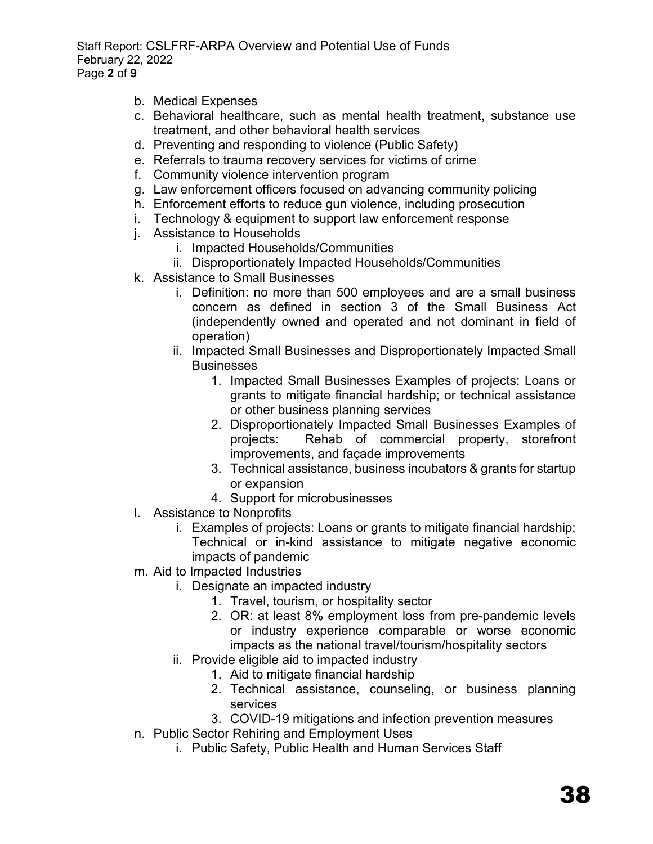Staff Report: CSLFRF-ARPA Overview and Potential Use of Funds February 22, 2022 Page **2** of **9** 

- b. Medical Expenses
- c. Behavioral healthcare, such as mental health treatment, substance use treatment, and other behavioral health services
- d. Preventing and responding to violence (Public Safety)
- e. Referrals to trauma recovery services for victims of crime
- f. Community violence intervention program
- g. Law enforcement officers focused on advancing community policing
- h. Enforcement efforts to reduce gun violence, including prosecution
- i. Technology & equipment to support law enforcement response
- j. Assistance to Households
	- i. Impacted Households/Communities
	- ii. Disproportionately Impacted Households/Communities
- k. Assistance to Small Businesses
	- i. Definition: no more than 500 employees and are a small business concern as defined in section 3 of the Small Business Act (independently owned and operated and not dominant in field of operation)
	- ii. Impacted Small Businesses and Disproportionately Impacted Small **Businesses** 
		- 1. Impacted Small Businesses Examples of projects: Loans or grants to mitigate financial hardship; or technical assistance or other business planning services
		- 2. Disproportionately Impacted Small Businesses Examples of projects: Rehab of commercial property, storefront improvements, and façade improvements
		- 3. Technical assistance, business incubators & grants for startup or expansion
		- 4. Support for microbusinesses
- l. Assistance to Nonprofits
	- i. Examples of projects: Loans or grants to mitigate financial hardship; Technical or in-kind assistance to mitigate negative economic impacts of pandemic
- m. Aid to Impacted Industries
	- i. Designate an impacted industry
		- 1. Travel, tourism, or hospitality sector
		- 2. OR: at least 8% employment loss from pre-pandemic levels or industry experience comparable or worse economic impacts as the national travel/tourism/hospitality sectors
	- ii. Provide eligible aid to impacted industry
		- 1. Aid to mitigate financial hardship
		- 2. Technical assistance, counseling, or business planning services
		- 3. COVID-19 mitigations and infection prevention measures
- n. Public Sector Rehiring and Employment Uses
	- i. Public Safety, Public Health and Human Services Staff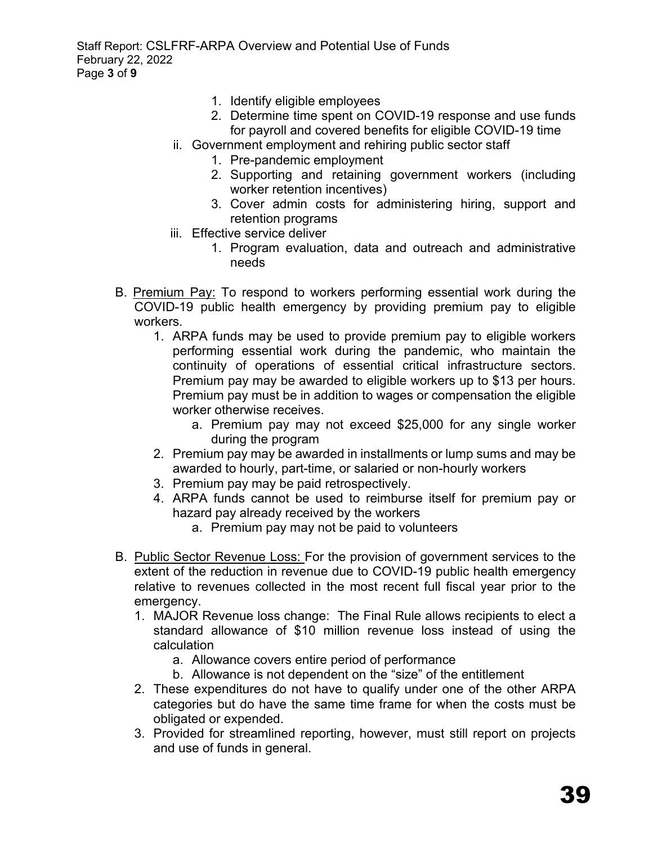Staff Report: CSLFRF-ARPA Overview and Potential Use of Funds February 22, 2022 Page **3** of **9** 

- 1. Identify eligible employees
- 2. Determine time spent on COVID-19 response and use funds for payroll and covered benefits for eligible COVID-19 time
- ii. Government employment and rehiring public sector staff
	- 1. Pre-pandemic employment
	- 2. Supporting and retaining government workers (including worker retention incentives)
	- 3. Cover admin costs for administering hiring, support and retention programs
- iii. Effective service deliver
	- 1. Program evaluation, data and outreach and administrative needs
- B. Premium Pay: To respond to workers performing essential work during the COVID-19 public health emergency by providing premium pay to eligible workers.
	- 1. ARPA funds may be used to provide premium pay to eligible workers performing essential work during the pandemic, who maintain the continuity of operations of essential critical infrastructure sectors. Premium pay may be awarded to eligible workers up to \$13 per hours. Premium pay must be in addition to wages or compensation the eligible worker otherwise receives.
		- a. Premium pay may not exceed \$25,000 for any single worker during the program
	- 2. Premium pay may be awarded in installments or lump sums and may be awarded to hourly, part-time, or salaried or non-hourly workers
	- 3. Premium pay may be paid retrospectively.
	- 4. ARPA funds cannot be used to reimburse itself for premium pay or hazard pay already received by the workers
		- a. Premium pay may not be paid to volunteers
- B. Public Sector Revenue Loss: For the provision of government services to the extent of the reduction in revenue due to COVID-19 public health emergency relative to revenues collected in the most recent full fiscal year prior to the emergency.
	- 1. MAJOR Revenue loss change: The Final Rule allows recipients to elect a standard allowance of \$10 million revenue loss instead of using the calculation
		- a. Allowance covers entire period of performance
		- b. Allowance is not dependent on the "size" of the entitlement
	- 2. These expenditures do not have to qualify under one of the other ARPA categories but do have the same time frame for when the costs must be obligated or expended.
	- 3. Provided for streamlined reporting, however, must still report on projects and use of funds in general.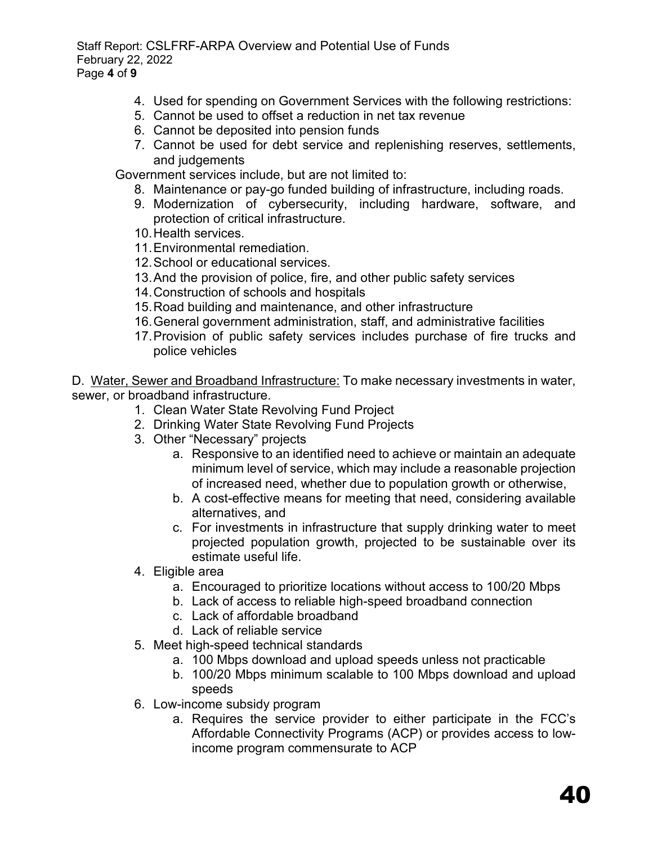Staff Report: CSLFRF-ARPA Overview and Potential Use of Funds February 22, 2022 Page **4** of **9** 

- 4. Used for spending on Government Services with the following restrictions:
- 5. Cannot be used to offset a reduction in net tax revenue
- 6. Cannot be deposited into pension funds
- 7. Cannot be used for debt service and replenishing reserves, settlements, and judgements

Government services include, but are not limited to:

- 8. Maintenance or pay-go funded building of infrastructure, including roads.
- 9. Modernization of cybersecurity, including hardware, software, and protection of critical infrastructure.
- 10.Health services.
- 11.Environmental remediation.
- 12.School or educational services.
- 13.And the provision of police, fire, and other public safety services
- 14.Construction of schools and hospitals
- 15.Road building and maintenance, and other infrastructure
- 16.General government administration, staff, and administrative facilities
- 17.Provision of public safety services includes purchase of fire trucks and police vehicles

D. Water, Sewer and Broadband Infrastructure: To make necessary investments in water, sewer, or broadband infrastructure.

- 1. Clean Water State Revolving Fund Project
- 2. Drinking Water State Revolving Fund Projects
- 3. Other "Necessary" projects
	- a. Responsive to an identified need to achieve or maintain an adequate minimum level of service, which may include a reasonable projection of increased need, whether due to population growth or otherwise,
	- b. A cost-effective means for meeting that need, considering available alternatives, and
	- c. For investments in infrastructure that supply drinking water to meet projected population growth, projected to be sustainable over its estimate useful life.
- 4. Eligible area
	- a. Encouraged to prioritize locations without access to 100/20 Mbps
	- b. Lack of access to reliable high-speed broadband connection
	- c. Lack of affordable broadband
	- d. Lack of reliable service
- 5. Meet high-speed technical standards
	- a. 100 Mbps download and upload speeds unless not practicable
	- b. 100/20 Mbps minimum scalable to 100 Mbps download and upload speeds
- 6. Low-income subsidy program
	- a. Requires the service provider to either participate in the FCC's Affordable Connectivity Programs (ACP) or provides access to lowincome program commensurate to ACP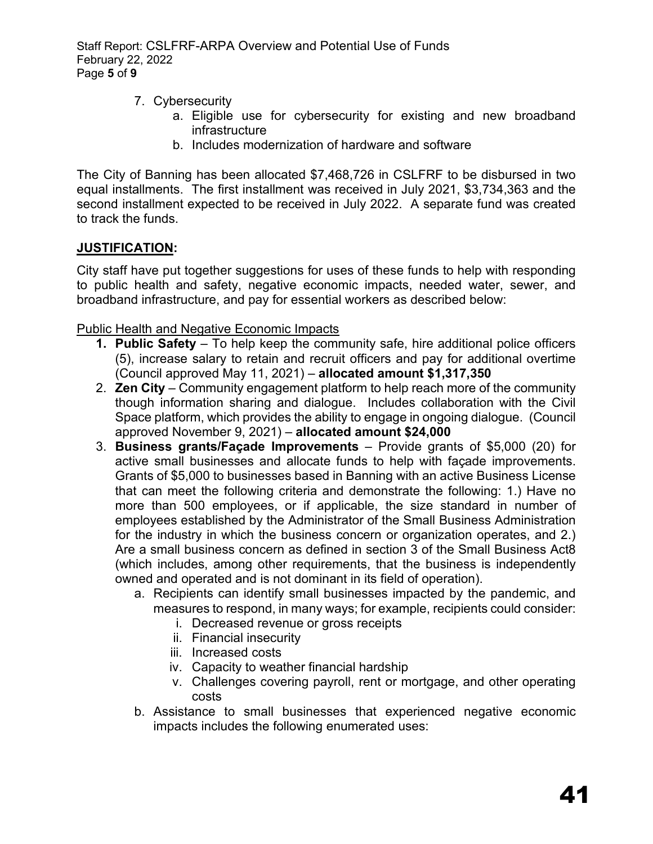Staff Report: CSLFRF-ARPA Overview and Potential Use of Funds February 22, 2022 Page **5** of **9** 

- 7. Cybersecurity
	- a. Eligible use for cybersecurity for existing and new broadband infrastructure
	- b. Includes modernization of hardware and software

The City of Banning has been allocated \$7,468,726 in CSLFRF to be disbursed in two equal installments. The first installment was received in July 2021, \$3,734,363 and the second installment expected to be received in July 2022. A separate fund was created to track the funds.

## **JUSTIFICATION:**

City staff have put together suggestions for uses of these funds to help with responding to public health and safety, negative economic impacts, needed water, sewer, and broadband infrastructure, and pay for essential workers as described below:

Public Health and Negative Economic Impacts

- **1. Public Safety** To help keep the community safe, hire additional police officers (5), increase salary to retain and recruit officers and pay for additional overtime (Council approved May 11, 2021) – **allocated amount \$1,317,350**
- 2. **Zen City** Community engagement platform to help reach more of the community though information sharing and dialogue. Includes collaboration with the Civil Space platform, which provides the ability to engage in ongoing dialogue. (Council approved November 9, 2021) – **allocated amount \$24,000**
- 3. **Business grants/Façade Improvements** Provide grants of \$5,000 (20) for active small businesses and allocate funds to help with façade improvements. Grants of \$5,000 to businesses based in Banning with an active Business License that can meet the following criteria and demonstrate the following: 1.) Have no more than 500 employees, or if applicable, the size standard in number of employees established by the Administrator of the Small Business Administration for the industry in which the business concern or organization operates, and 2.) Are a small business concern as defined in section 3 of the Small Business Act8 (which includes, among other requirements, that the business is independently owned and operated and is not dominant in its field of operation).
	- a. Recipients can identify small businesses impacted by the pandemic, and measures to respond, in many ways; for example, recipients could consider:
		- i. Decreased revenue or gross receipts
		- ii. Financial insecurity
		- iii. Increased costs
		- iv. Capacity to weather financial hardship
		- v. Challenges covering payroll, rent or mortgage, and other operating costs
	- b. Assistance to small businesses that experienced negative economic impacts includes the following enumerated uses: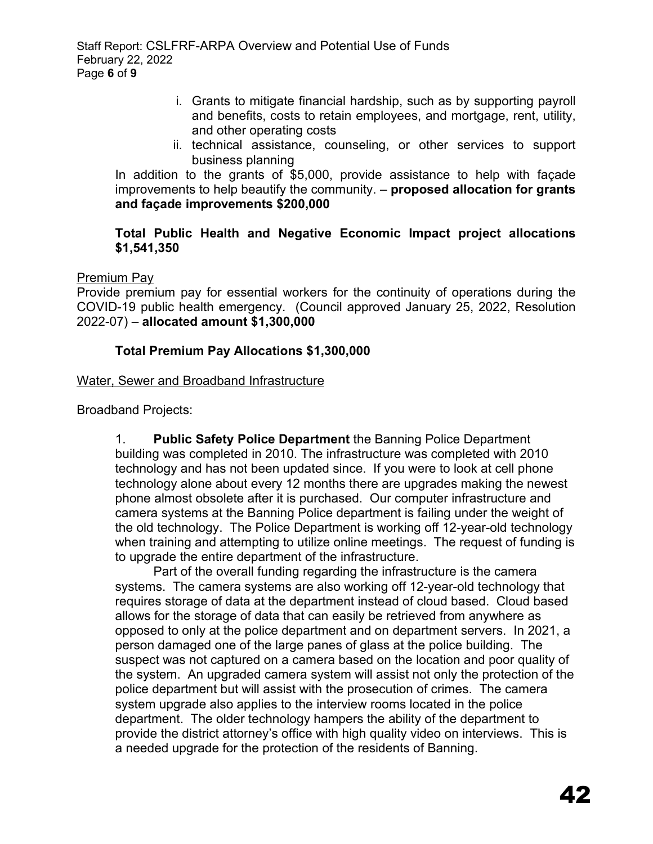- i. Grants to mitigate financial hardship, such as by supporting payroll and benefits, costs to retain employees, and mortgage, rent, utility, and other operating costs
- ii. technical assistance, counseling, or other services to support business planning

In addition to the grants of \$5,000, provide assistance to help with façade improvements to help beautify the community. – **proposed allocation for grants and façade improvements \$200,000**

## **Total Public Health and Negative Economic Impact project allocations \$1,541,350**

## Premium Pay

Provide premium pay for essential workers for the continuity of operations during the COVID-19 public health emergency. (Council approved January 25, 2022, Resolution 2022-07) – **allocated amount \$1,300,000**

# **Total Premium Pay Allocations \$1,300,000**

## Water, Sewer and Broadband Infrastructure

Broadband Projects:

1. **Public Safety Police Department** the Banning Police Department building was completed in 2010. The infrastructure was completed with 2010 technology and has not been updated since. If you were to look at cell phone technology alone about every 12 months there are upgrades making the newest phone almost obsolete after it is purchased. Our computer infrastructure and camera systems at the Banning Police department is failing under the weight of the old technology. The Police Department is working off 12-year-old technology when training and attempting to utilize online meetings. The request of funding is to upgrade the entire department of the infrastructure.

Part of the overall funding regarding the infrastructure is the camera systems. The camera systems are also working off 12-year-old technology that requires storage of data at the department instead of cloud based. Cloud based allows for the storage of data that can easily be retrieved from anywhere as opposed to only at the police department and on department servers. In 2021, a person damaged one of the large panes of glass at the police building. The suspect was not captured on a camera based on the location and poor quality of the system. An upgraded camera system will assist not only the protection of the police department but will assist with the prosecution of crimes. The camera system upgrade also applies to the interview rooms located in the police department. The older technology hampers the ability of the department to provide the district attorney's office with high quality video on interviews. This is a needed upgrade for the protection of the residents of Banning.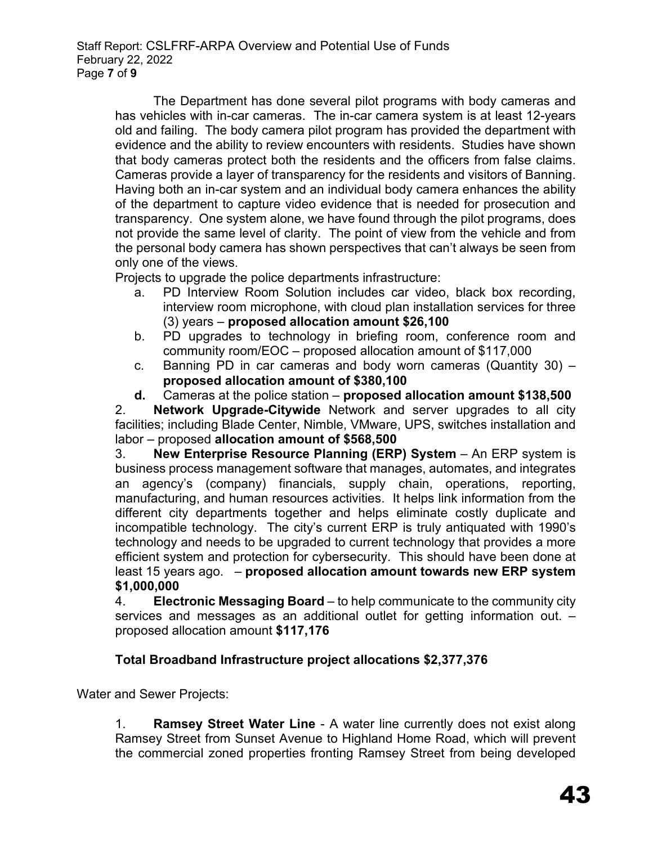The Department has done several pilot programs with body cameras and has vehicles with in-car cameras. The in-car camera system is at least 12-years old and failing. The body camera pilot program has provided the department with evidence and the ability to review encounters with residents. Studies have shown that body cameras protect both the residents and the officers from false claims. Cameras provide a layer of transparency for the residents and visitors of Banning. Having both an in-car system and an individual body camera enhances the ability of the department to capture video evidence that is needed for prosecution and transparency. One system alone, we have found through the pilot programs, does not provide the same level of clarity. The point of view from the vehicle and from the personal body camera has shown perspectives that can't always be seen from only one of the views.

Projects to upgrade the police departments infrastructure:

- a. PD Interview Room Solution includes car video, black box recording, interview room microphone, with cloud plan installation services for three (3) years – **proposed allocation amount \$26,100**
- b. PD upgrades to technology in briefing room, conference room and community room/EOC – proposed allocation amount of \$117,000
- c. Banning PD in car cameras and body worn cameras (Quantity 30) **proposed allocation amount of \$380,100**
- **d.** Cameras at the police station **proposed allocation amount \$138,500**

2. **Network Upgrade-Citywide** Network and server upgrades to all city facilities; including Blade Center, Nimble, VMware, UPS, switches installation and labor – proposed **allocation amount of \$568,500**

3. **New Enterprise Resource Planning (ERP) System** – An ERP system is business process management software that manages, automates, and integrates an agency's (company) financials, supply chain, operations, reporting, manufacturing, and human resources activities. It helps link information from the different city departments together and helps eliminate costly duplicate and incompatible technology. The city's current ERP is truly antiquated with 1990's technology and needs to be upgraded to current technology that provides a more efficient system and protection for cybersecurity. This should have been done at least 15 years ago. – **proposed allocation amount towards new ERP system \$1,000,000**

4. **Electronic Messaging Board** – to help communicate to the community city services and messages as an additional outlet for getting information out. – proposed allocation amount **\$117,176**

# **Total Broadband Infrastructure project allocations \$2,377,376**

Water and Sewer Projects:

1. **Ramsey Street Water Line** - A water line currently does not exist along Ramsey Street from Sunset Avenue to Highland Home Road, which will prevent the commercial zoned properties fronting Ramsey Street from being developed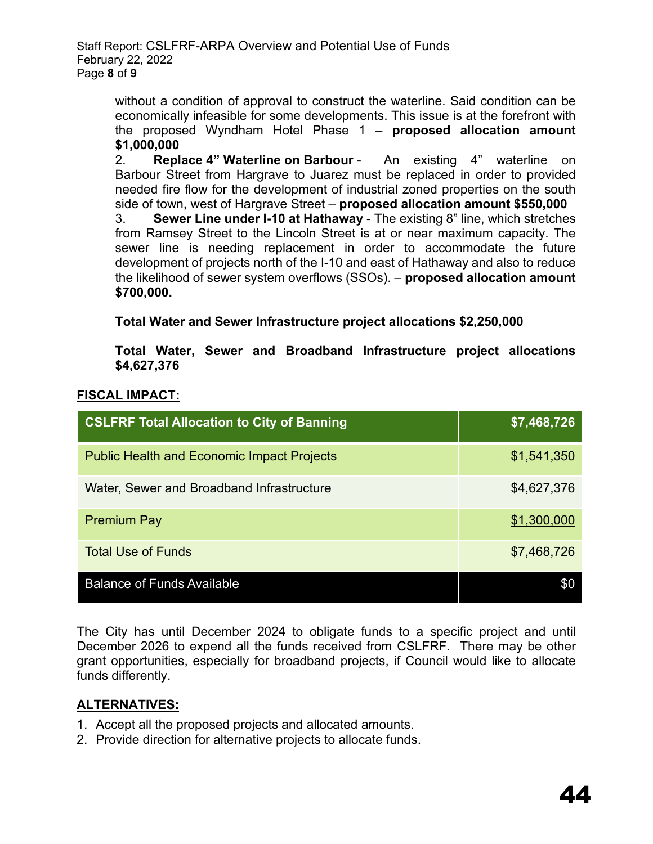Staff Report: CSLFRF-ARPA Overview and Potential Use of Funds February 22, 2022 Page **8** of **9** 

> without a condition of approval to construct the waterline. Said condition can be economically infeasible for some developments. This issue is at the forefront with the proposed Wyndham Hotel Phase 1 – **proposed allocation amount \$1,000,000**

> 2. **Replace 4" Waterline on Barbour** - An existing 4" waterline on Barbour Street from Hargrave to Juarez must be replaced in order to provided needed fire flow for the development of industrial zoned properties on the south side of town, west of Hargrave Street – **proposed allocation amount \$550,000**

> 3. **Sewer Line under I-10 at Hathaway** - The existing 8" line, which stretches from Ramsey Street to the Lincoln Street is at or near maximum capacity. The sewer line is needing replacement in order to accommodate the future development of projects north of the I-10 and east of Hathaway and also to reduce the likelihood of sewer system overflows (SSOs). – **proposed allocation amount \$700,000.**

**Total Water and Sewer Infrastructure project allocations \$2,250,000**

**Total Water, Sewer and Broadband Infrastructure project allocations \$4,627,376**

# **FISCAL IMPACT:**

| <b>CSLFRF Total Allocation to City of Banning</b> | \$7,468,726 |
|---------------------------------------------------|-------------|
| <b>Public Health and Economic Impact Projects</b> | \$1,541,350 |
| Water, Sewer and Broadband Infrastructure         | \$4,627,376 |
| <b>Premium Pay</b>                                | \$1,300,000 |
| <b>Total Use of Funds</b>                         | \$7,468,726 |
| <b>Balance of Funds Available</b>                 |             |

The City has until December 2024 to obligate funds to a specific project and until December 2026 to expend all the funds received from CSLFRF. There may be other grant opportunities, especially for broadband projects, if Council would like to allocate funds differently.

# **ALTERNATIVES:**

- 1. Accept all the proposed projects and allocated amounts.
- 2. Provide direction for alternative projects to allocate funds.